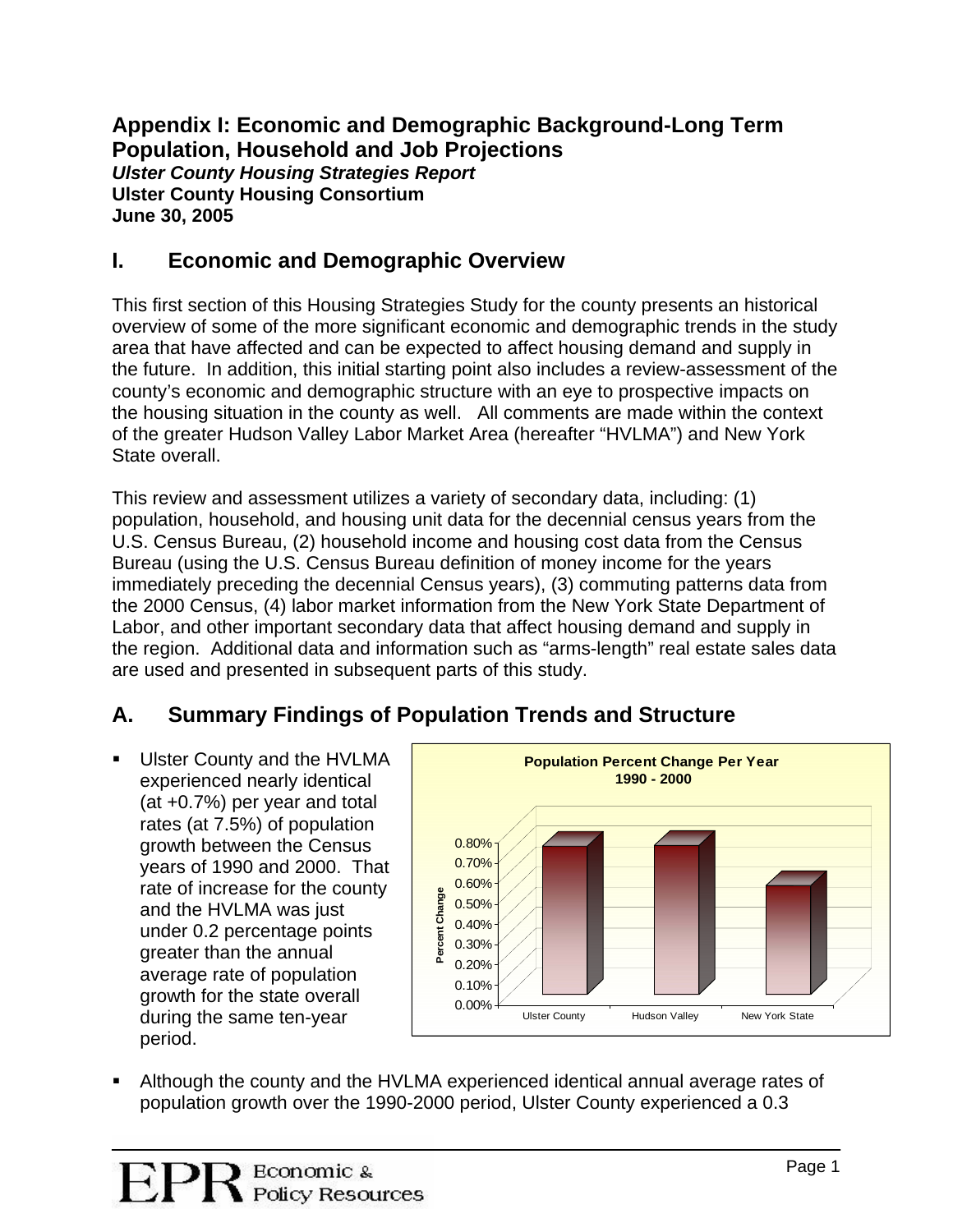**Appendix I: Economic and Demographic Background-Long Term Population, Household and Job Projections**  *Ulster County Housing Strategies Report*  **Ulster County Housing Consortium June 30, 2005** 

## **I. Economic and Demographic Overview**

This first section of this Housing Strategies Study for the county presents an historical overview of some of the more significant economic and demographic trends in the study area that have affected and can be expected to affect housing demand and supply in the future. In addition, this initial starting point also includes a review-assessment of the county's economic and demographic structure with an eye to prospective impacts on the housing situation in the county as well. All comments are made within the context of the greater Hudson Valley Labor Market Area (hereafter "HVLMA") and New York State overall.

This review and assessment utilizes a variety of secondary data, including: (1) population, household, and housing unit data for the decennial census years from the U.S. Census Bureau, (2) household income and housing cost data from the Census Bureau (using the U.S. Census Bureau definition of money income for the years immediately preceding the decennial Census years), (3) commuting patterns data from the 2000 Census, (4) labor market information from the New York State Department of Labor, and other important secondary data that affect housing demand and supply in the region. Additional data and information such as "arms-length" real estate sales data are used and presented in subsequent parts of this study.

## **A. Summary Findings of Population Trends and Structure**

**Ulster County and the HVLMA** experienced nearly identical (at +0.7%) per year and total rates (at 7.5%) of population growth between the Census years of 1990 and 2000. That rate of increase for the county and the HVLMA was just under 0.2 percentage points greater than the annual average rate of population growth for the state overall during the same ten-year period.



 Although the county and the HVLMA experienced identical annual average rates of population growth over the 1990-2000 period, Ulster County experienced a 0.3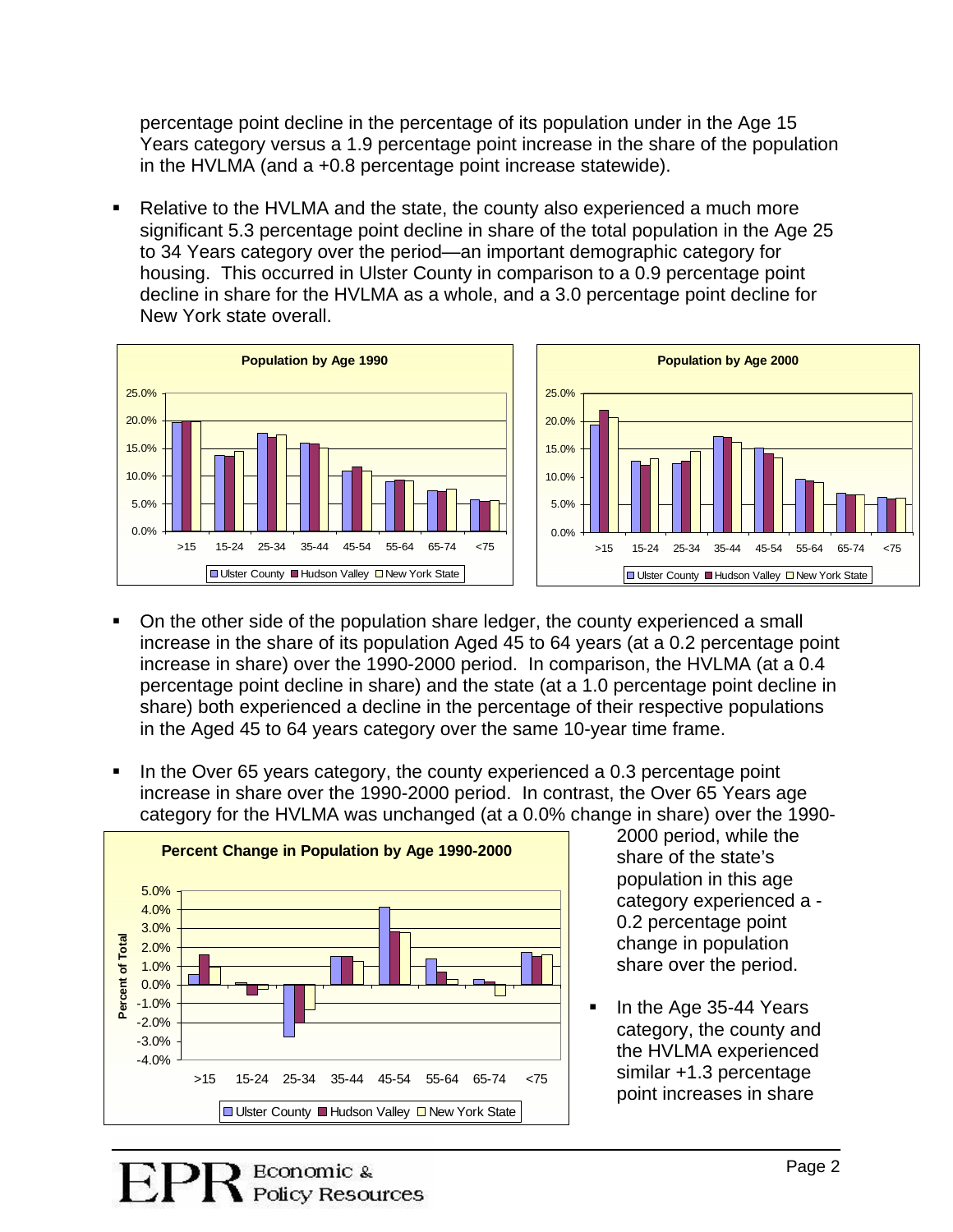percentage point decline in the percentage of its population under in the Age 15 Years category versus a 1.9 percentage point increase in the share of the population in the HVLMA (and a +0.8 percentage point increase statewide).

 Relative to the HVLMA and the state, the county also experienced a much more significant 5.3 percentage point decline in share of the total population in the Age 25 to 34 Years category over the period—an important demographic category for housing. This occurred in Ulster County in comparison to a 0.9 percentage point decline in share for the HVLMA as a whole, and a 3.0 percentage point decline for New York state overall.



- On the other side of the population share ledger, the county experienced a small increase in the share of its population Aged 45 to 64 years (at a 0.2 percentage point increase in share) over the 1990-2000 period. In comparison, the HVLMA (at a 0.4 percentage point decline in share) and the state (at a 1.0 percentage point decline in share) both experienced a decline in the percentage of their respective populations in the Aged 45 to 64 years category over the same 10-year time frame.
- In the Over 65 years category, the county experienced a 0.3 percentage point increase in share over the 1990-2000 period. In contrast, the Over 65 Years age category for the HVLMA was unchanged (at a 0.0% change in share) over the 1990-



2000 period, while the share of the state's population in this age category experienced a - 0.2 percentage point change in population share over the period.

In the Age 35-44 Years . category, the county and the HVLMA experienced similar +1.3 percentage point increases in share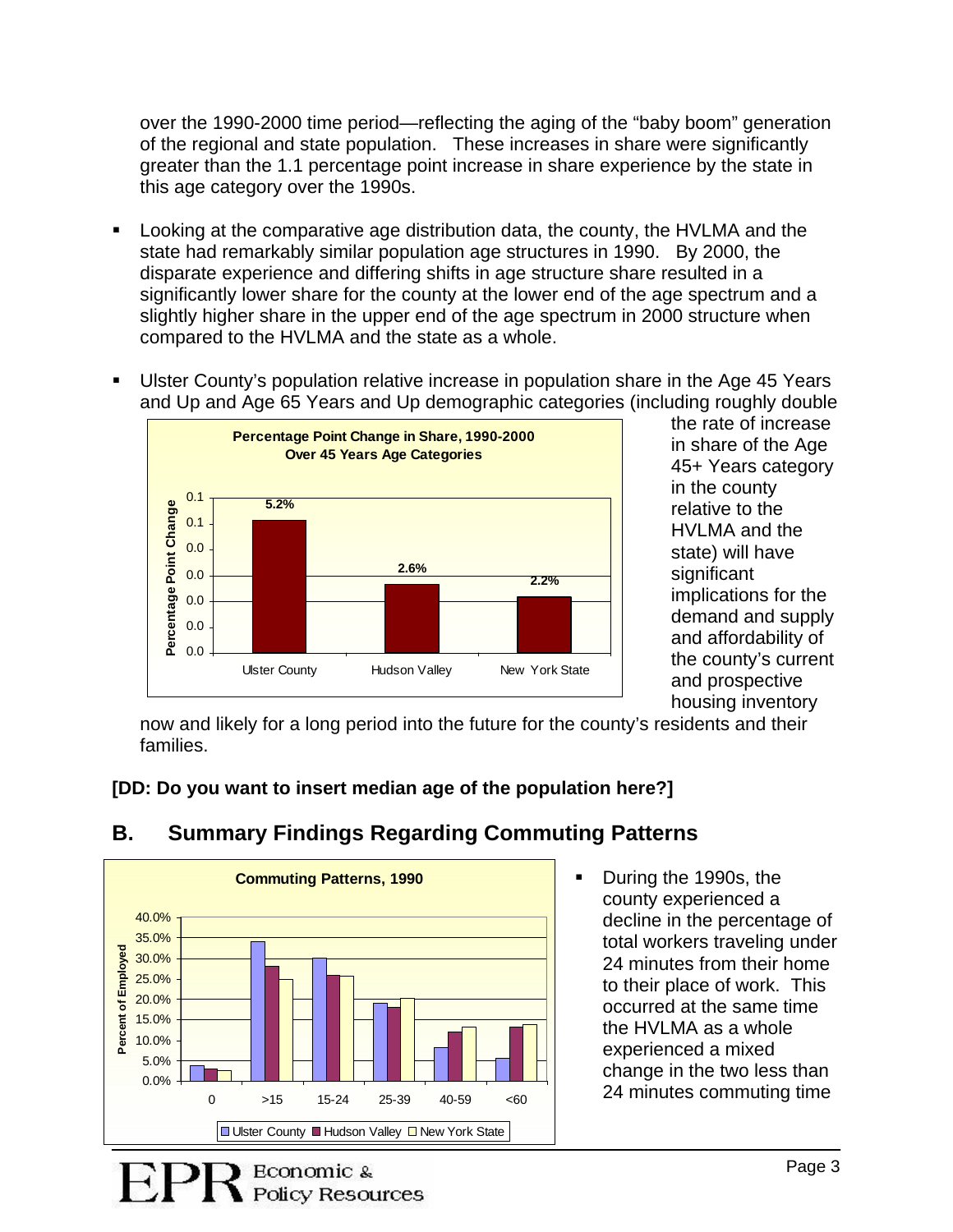over the 1990-2000 time period—reflecting the aging of the "baby boom" generation of the regional and state population. These increases in share were signific antly greater than the 1.1 percentage point increase in share experience by the stat e in this age category over the 1990s.

- Looking at the comparative age distribution data, the county, the HVLMA and the significantly lower share for the county at the lower end of the age spectrum and a . state had remarkably similar population age structures in 1990. By 2000, the disparate experience and differing shifts in age structure share resulted in a slightly higher share in the upper end of the age spectrum in 2000 structure when compared to the HVLMA and the state as a whole.
- Ulster County's population relative increase in population share in the Age 45 Years . and Up and Age 65 Years and Up demographic categories (including roughly double



in share of the Age 45+ Years category in the county implications for the demand and supply the county's current and prospective the rate of increase relative to the HVLMA and the state) will have significant and affordability of housing inventory

now and likely for a long period into the future for the county's residents and their families.

### **D: Do you want to insert median age of the population here?] [D**



#### **. Summary Findings Regarding Commuting Patterns B**

During the 1990s, the decline in the percentage of change in the two less than  $\blacksquare$ county experienced a total workers traveling under 24 minutes from their home to their place of work. This occurred at the same time the HVLMA as a whole experienced a mixed 24 minutes commuting time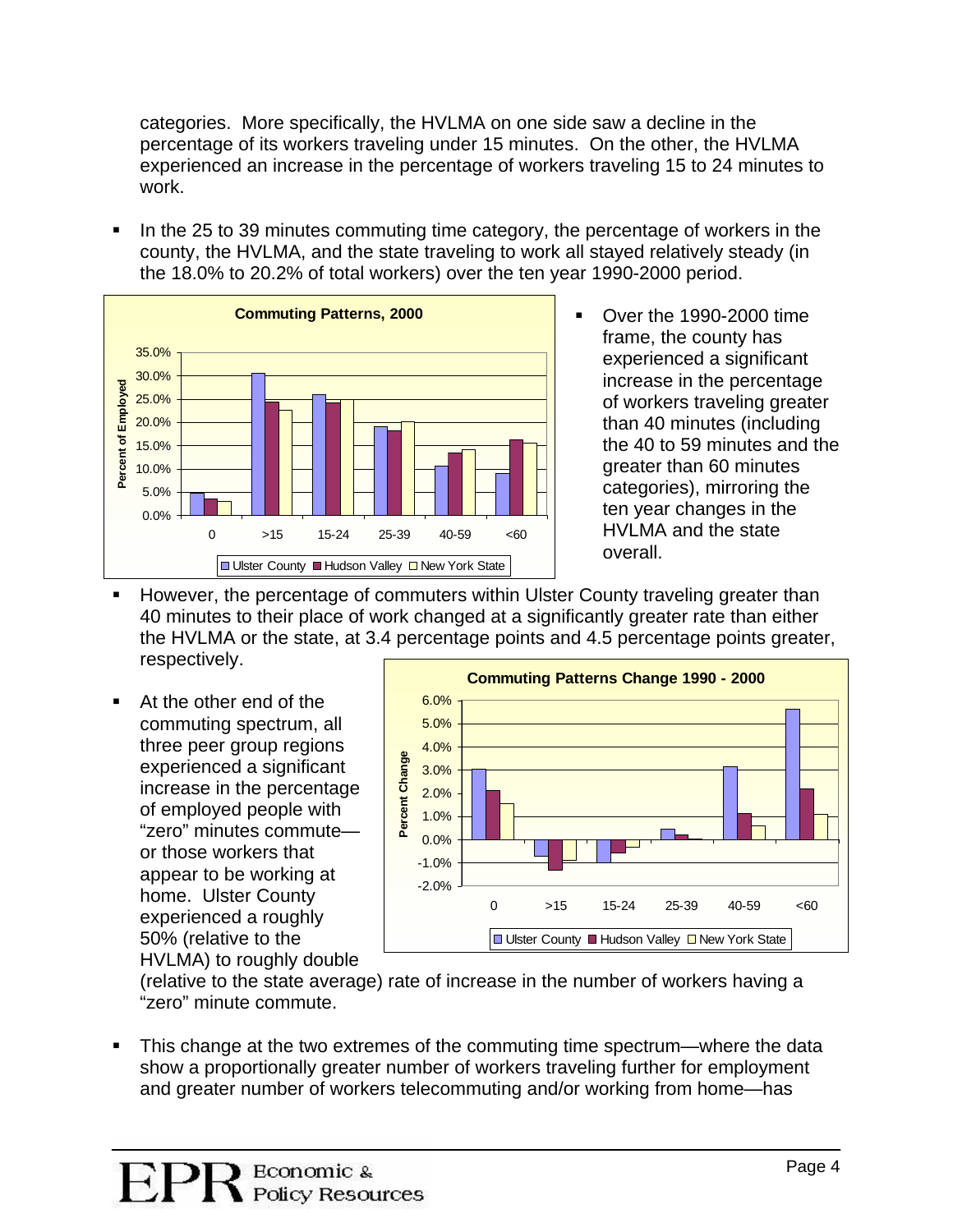categories. More specifically, the HVLMA on one side saw a decline in the percentage of its workers traveling under 15 minutes. On the other, the HVLMA experienced an increase in the percentage of workers traveling 15 to 24 minutes to work.

In the 25 to 39 minutes commuting time category, the percentage of workers in the county, the HVLMA, and the state traveling to work all stayed relatively steady (in the 18.0% to 20.2% of total workers) over the ten year 1990-2000 period.



- Over the 1990-2000 time frame, the county has experienced a significant increase in the percentage of workers traveling greater than 40 minutes (including the 40 to 59 minutes and t he greater than 60 minutes categories), mirroring the ten year changes in the HVLMA and the state overall.
- However, the percentage of commuters within Ulster County traveling greater than the HVLMA or the state, at 3.4 percentage points and 4.5 percentage points greater, 40 minutes to their place of work changed at a significantly greater rate than either respectively.
- At the other end of the commuting spectrum, all three peer group regions experienced a significant increase in the percentage of employed people with "zero" minutes commute or those workers that appear to be working at home. Ulster County experienced a roughly 50% (relative to the HVLMA) to roughly double



(relative to the state average) rate of increase in the number of workers having a "zero" minute commute.

. show a proportionally greater number of workers traveling further for employment and greater number of workers telecommuting and/or working from home—has This change at the two extremes of the commuting time spectrum—where the data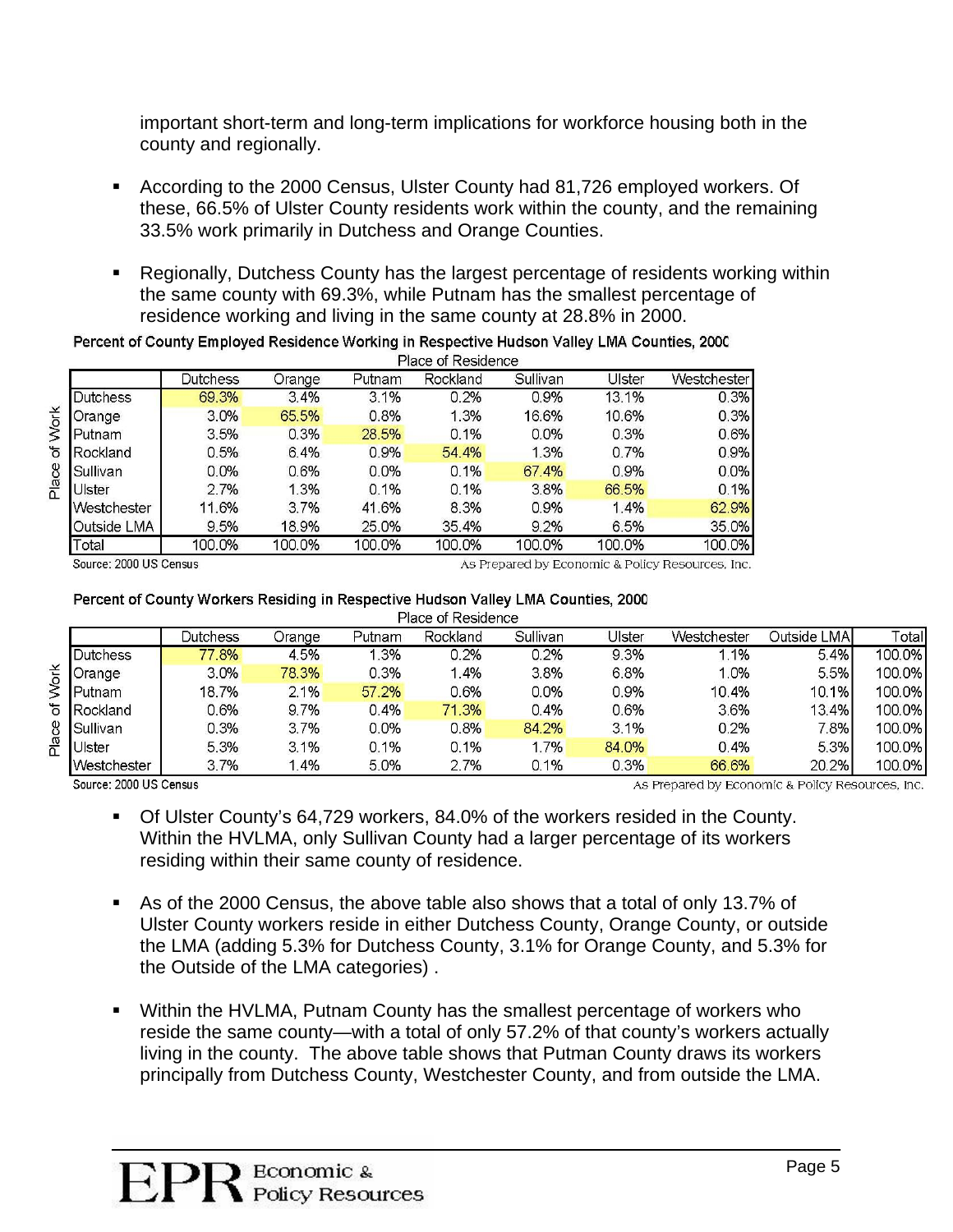important short-term and long-term implications for workforce housing both in the county and regionally.

- According to the 2000 Census, Ulster County had 81,726 employed workers. Of these, 66.5% of Ulster County residents work within the county, and the remaining 33.5% work primarily in Dutchess and Orange Counties.
- Regionally, Dutchess County has the largest percentage of residents working within the same county with 69.3%, while Putnam has the smallest percentage of residence working and living in the same county at 28.8% in 2000.

|             |          | Place of Residence |        |          |          |        |             |  |  |  |  |
|-------------|----------|--------------------|--------|----------|----------|--------|-------------|--|--|--|--|
|             | Dutchess | Orange             | Putnam | Rockland | Sullivan | Ulster | Westchester |  |  |  |  |
| Dutchess    | 69.3%    | 3.4%               | 3.1%   | 0.2%     | 0.9%     | 13.1%  | 0.3%        |  |  |  |  |
| Orange      | 3.0%     | 65.5%              | 0.8%   | 1.3%     | 16.6%    | 10.6%  | 0.3%        |  |  |  |  |
| Putnam      | 3.5%     | 0.3%               | 28.5%  | 0.1%     | 0.0%     | 0.3%   | 0.6%        |  |  |  |  |
| Rockland    | 0.5%     | 6.4%               | 0.9%   | 54.4%    | 1.3%     | 0.7%   | 0.9%        |  |  |  |  |
| Sullivan    | 0.0%     | 0.6%               | 0.0%   | 0.1%     | 67.4%    | 0.9%   | 0.0%        |  |  |  |  |
| Ulster      | 2.7%     | 1.3%               | 0.1%   | 0.1%     | 3.8%     | 66.5%  | 0.1%        |  |  |  |  |
| Westchester | 11.6%    | 3.7%               | 41.6%  | 8.3%     | 0.9%     | 1.4%   | 62.9%       |  |  |  |  |
| Outside LMA | 9.5%     | 18.9%              | 25.0%  | 35.4%    | 9.2%     | 6.5%   | 35.0%       |  |  |  |  |
| Total       | 100.0%   | 100.0%             | 100.0% | 100.0%   | 100.0%   | 100.0% | 100.0%      |  |  |  |  |
|             |          |                    |        |          |          |        |             |  |  |  |  |

Percent of County Employed Residence Working in Respective Hudson Valley LMA Counties, 2000

Source: 2000 US Census

As Prepared by Economic & Policy Resources, Inc.

#### Percent of County Workers Residing in Respective Hudson Valley LMA Counties, 2000

|       |                  |          |        |        | Place of Residence |          |                |             |              |        |
|-------|------------------|----------|--------|--------|--------------------|----------|----------------|-------------|--------------|--------|
|       |                  | Dutchess | Orange | Putnam | Rockland           | Sullivan | <b>J</b> Ister | Westchester | Outside LMAl | Total  |
| Work  | <b>Dutchess</b>  | 77.8%    | 4.5%   | .3%    | 0.2%               | 0.2%     | 9.3%           | 1.1%        | 5.4%         | 100.0% |
|       | <b>Orange</b>    | 3.0%     | 78.3%  | 0.3%   | .4%                | 3.8%     | 6.8%           | 1.0%        | 5.5%         | 100.0% |
|       | <b>I</b> Putnam  | 18.7%    | 2.1%   | 57.2%  | 0.6%               | 0.0%     | 0.9%           | 10.4%       | 10.1%        | 100.0% |
| ৳     | <b>IRockland</b> | 0.6%     | 9.7%   | 0.4%   | 71.3%              | 0.4%     | 0.6%           | 3.6%        | 13.4%        | 100.0% |
|       | Sullivan         | 0.3%     | 37%    | 0.0%   | 0.8%               | 84.2%    | 3.1%           | 0.2%        | 7.8%         | 100.0% |
| Place | Ulster           | 5.3%     | 3.1%   | 0.1%   | 0.1%               | 1.7%     | 84.0%          | 0.4%        | 5.3%         | 100.0% |
|       | Westchester      | 3.7%     | .4%    | 5.0%   | 2.7%               | 0.1%     | 0.3%           | 66.6%       | 20.2%        | 100.0% |

Source: 2000 US Census

As Prepared by Economic & Policy Resources, Inc.

 Of Ulster County's 64,729 workers, 84.0% of the workers resided in the County. Within the HVLMA, only Sullivan County had a larger percentage of its workers residing within their same county of residence.

- As of the 2000 Census, the above table also shows that a total of only 13.7% of Ulster County workers reside in either Dutchess County, Orange County, or outside the LMA (adding 5.3% for Dutchess County, 3.1% for Orange County, and 5.3% for the Outside of the LMA categories) .
- Within the HVLMA, Putnam County has the smallest percentage of workers who reside the same county—with a total of only 57.2% of that county's workers actually living in the county. The above table shows that Putman County draws its workers principally from Dutchess County, Westchester County, and from outside the LMA.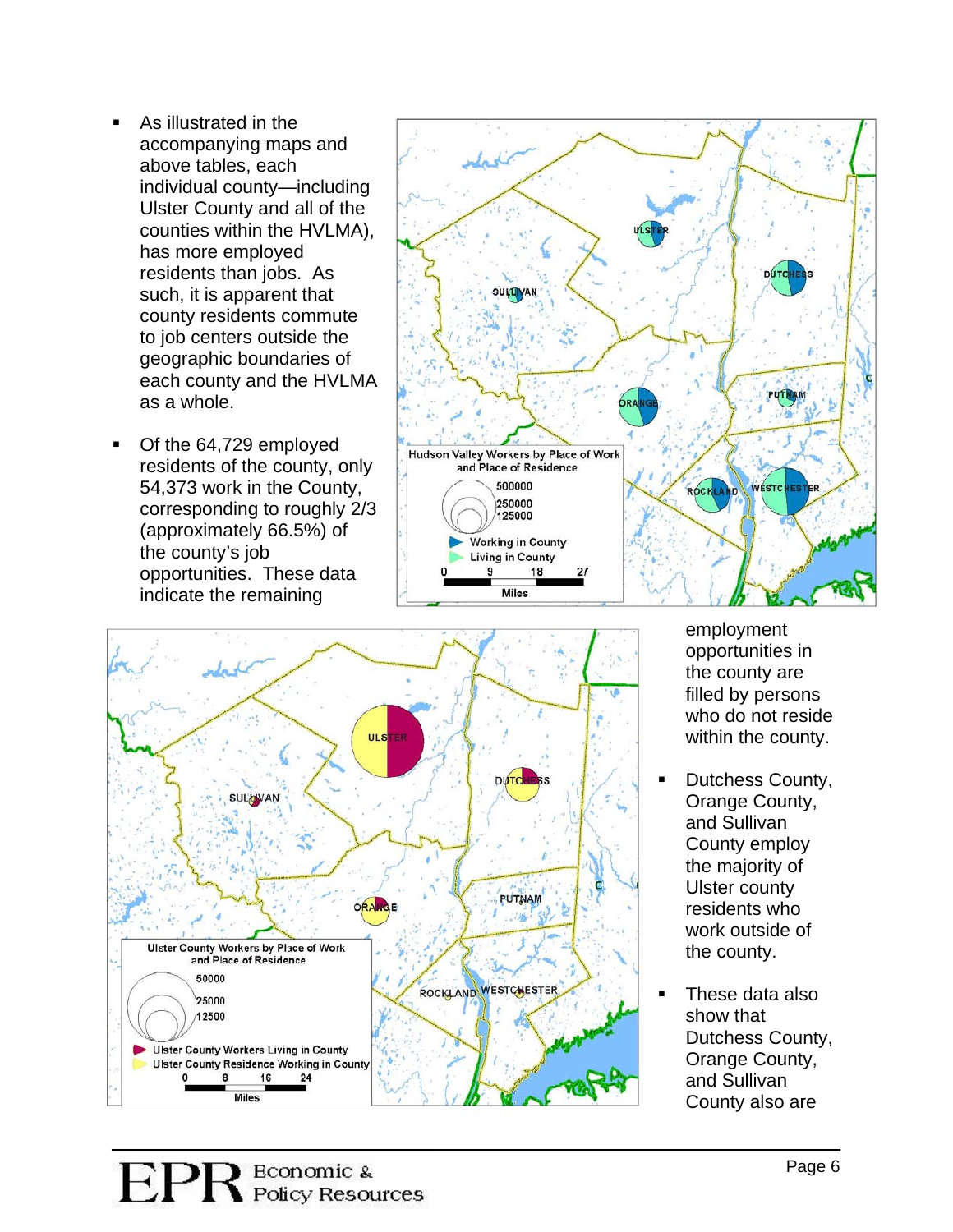- As illustrated in the accompanying maps and above tables, each indiv idual county—including Ulster County and all of the counties within the HVLMA), has more employed residents than jobs. As such, it is apparent that county residents commute to job centers outside the geographic boundaries of<br>each county and the HVLMA as a whole.
- Of the 64,729 employed residents of the county, only 54,373 wor k in the County, corresponding to roughly 2/3 (approximately 66.5%) of the county's job opportunities. These data indic ate the remaining





employment opportunities in the county are filled by persons who do not reside within the county.

- Dutchess County, Orange County, and Sullivan County employ the majority of Ulster county residents who work outside of the county.
- These data also show that Dutchess County, Orange County, and Sullivan County als o are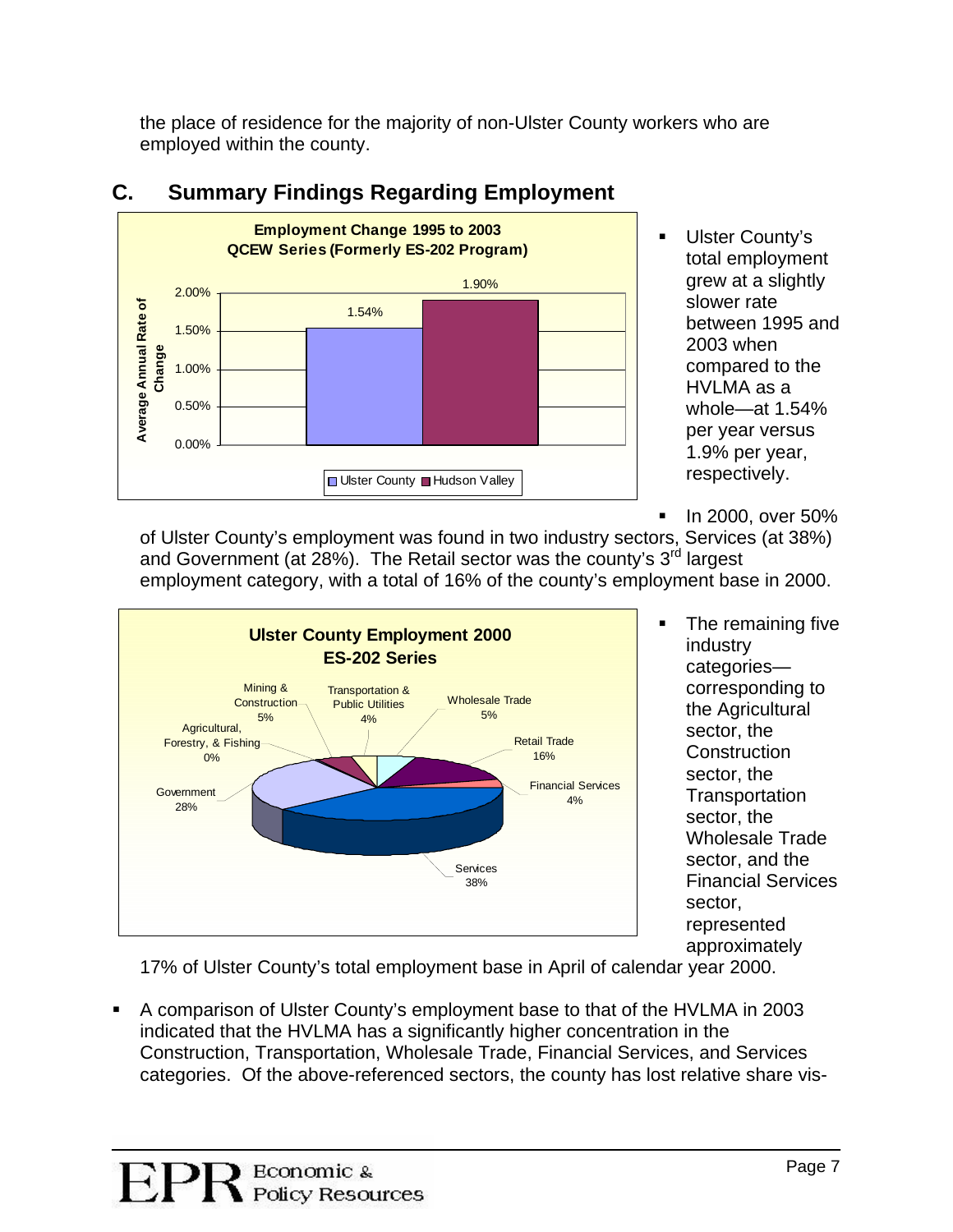the place of residence for the majority of non-Ulster County workers who are employed within the county.



## **C. Summary Findings Regarding Employment**

- **Ulster County's** total employment grew at a slightly slower rate between 1995 and 2003 when compared to the HVLMA as a whole—at 1.54% per year versus 1.9% per year, respectively.
- . In 2000, over 50%

of Ulster County's employment was found in two industry sectors, Services (at 38%) ond Covernment (at 28%) The Betail cector was the county's 2<sup>rd</sup> largest and Government (at 28%). The Retail sector was the county's  $3<sup>rd</sup>$  largest employment category, with a total of 16% of the county's employment base in 2000.



**The remaining five** industry the Agricultural Wholesale Trade categories corresponding to sector, the **Construction** sector, the **Transportation** sector, the sector, and the Financial Services sector, represented approximately

17% of Ulster County's total employment base in April of calendar year 2000.

. categories. Of the above-referenced sectors, the county has lost relative share vis-A comparison of Ulster County's employment base to that of the HVLMA in 2003 indicated that the HVLMA has a significantly higher concentration in the Construction, Transportation, Wholesale Trade, Financial Services, and Services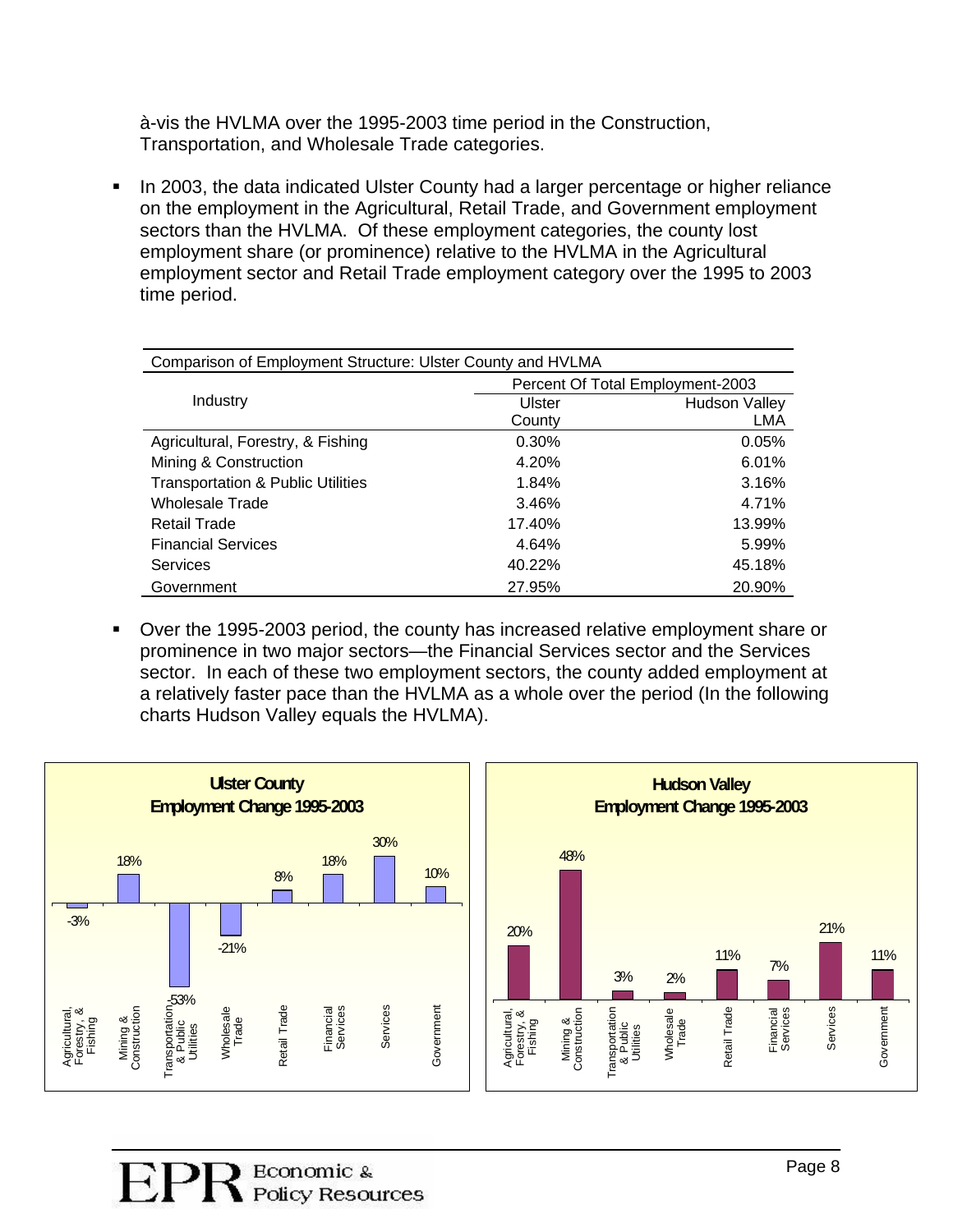à-vis the HVLMA over the 1995-2003 time period in the Construction, Transportation, and Wholesale Trade categories.

In 2003, the data indicated Ulster County had a larger percentage or higher reliance employment sector and Retail Trade employment category over the 1995 to 2003 on the employment in the Agricultural, Retail Trade, and Government employment sectors than the HVLMA. Of these employment categories, the county lost employment share (or prominence) relative to the HVLMA in the Agricultural time period.

| Comparison of Employment Structure: Ulster County and HVLMA |                                  |                      |  |  |  |  |  |
|-------------------------------------------------------------|----------------------------------|----------------------|--|--|--|--|--|
|                                                             | Percent Of Total Employment-2003 |                      |  |  |  |  |  |
| Industry                                                    | Ulster                           | <b>Hudson Valley</b> |  |  |  |  |  |
|                                                             | County                           | <b>LMA</b>           |  |  |  |  |  |
| Agricultural, Forestry, & Fishing                           | 0.30%                            | 0.05%                |  |  |  |  |  |
| Mining & Construction                                       | 4.20%                            | 6.01%                |  |  |  |  |  |
| <b>Transportation &amp; Public Utilities</b>                | 1.84%                            | 3.16%                |  |  |  |  |  |
| <b>Wholesale Trade</b>                                      | 3.46%                            | 4.71%                |  |  |  |  |  |
| Retail Trade                                                | 17.40%                           | 13.99%               |  |  |  |  |  |
| <b>Financial Services</b>                                   | 4.64%                            | 5.99%                |  |  |  |  |  |
| Services                                                    | 40.22%                           | 45.18%               |  |  |  |  |  |
| Government                                                  | 27.95%                           | 20.90%               |  |  |  |  |  |

Over the 1995-2003 period, the county has increased relative employment share or sector. In each of these two employment sectors, the county added employment at . prominence in two major sectors—the Financial Services sector and the Services a relatively faster pace than the HVLMA as a whole over the period (In the following charts Hudson Valley equals the HVLMA).

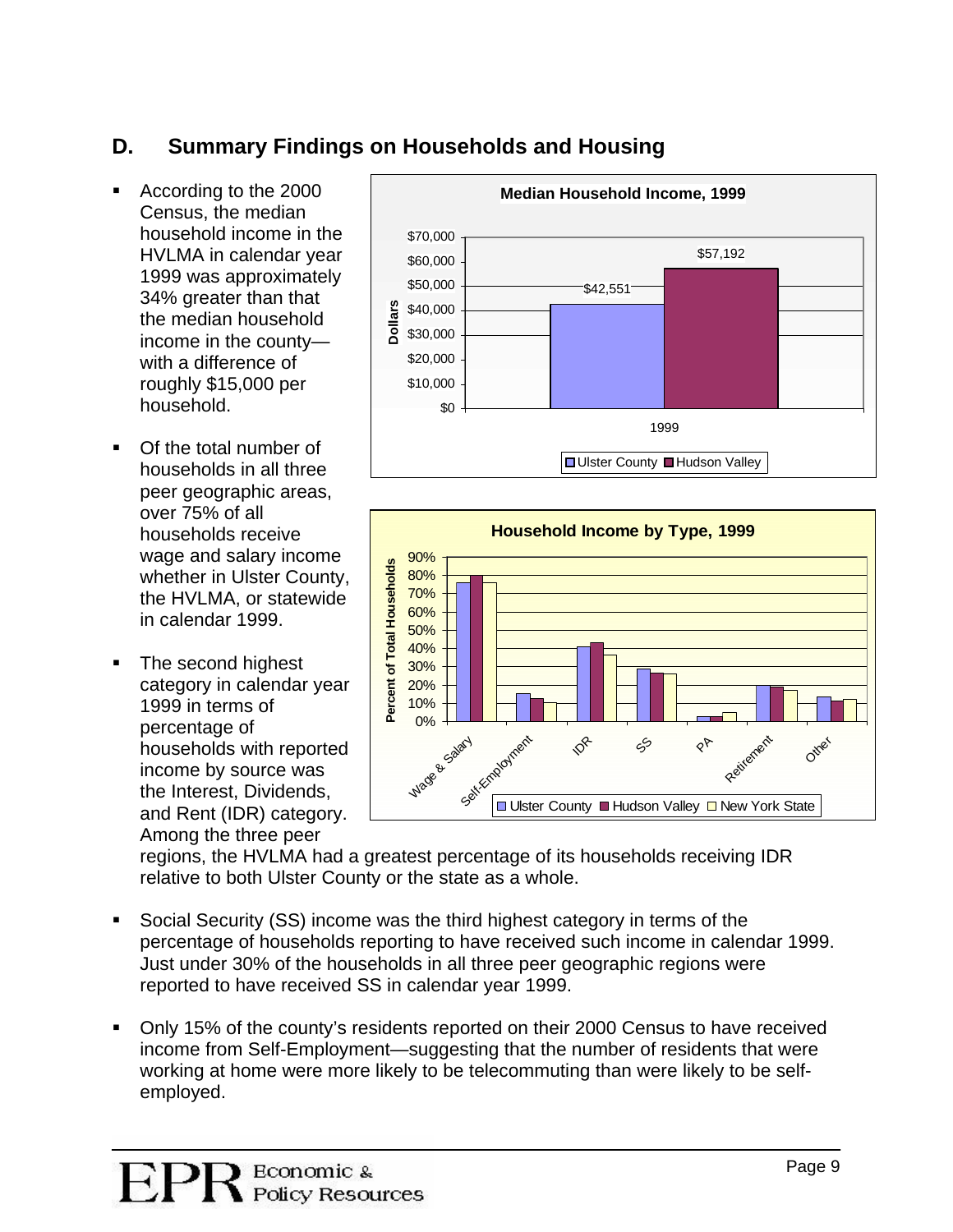# **D. Summary Findings on Households and Housing**

- According to the 2000 Census, the median household income in the HVLMA in calendar year 1999 was approximately 34% greater than that the median household income in the county with a difference of roughly \$15,000 per household.
- Of the total number of households in all three peer geographic areas, over 75% of all households receive wage and salary income whether in Ulster C ounty, the HVLMA, or statewide in calendar 1999.
- The second highest category in calendar year households with reported . and Rent (IDR) category . 1999 in terms of percentage of income by source was the Interest, Dividends, Among the three peer





regions, the HVLMA had a greatest percentage of its households receiving IDR relative to both Ulster County or the state as a whole.

- Social Security (SS) income was the third highest category in terms of the percentage of households reporting to have received such income in calendar 1999. Just under 30% of the households in all three peer geographic regions were reported to have received SS in calendar year 1999.
- Only 15% of the county's residents reported on their 2000 Census to have received income from Self-Employment—suggesting that the number of residents that were working at home were more likely to be telecommuting than were likely to be selfemployed.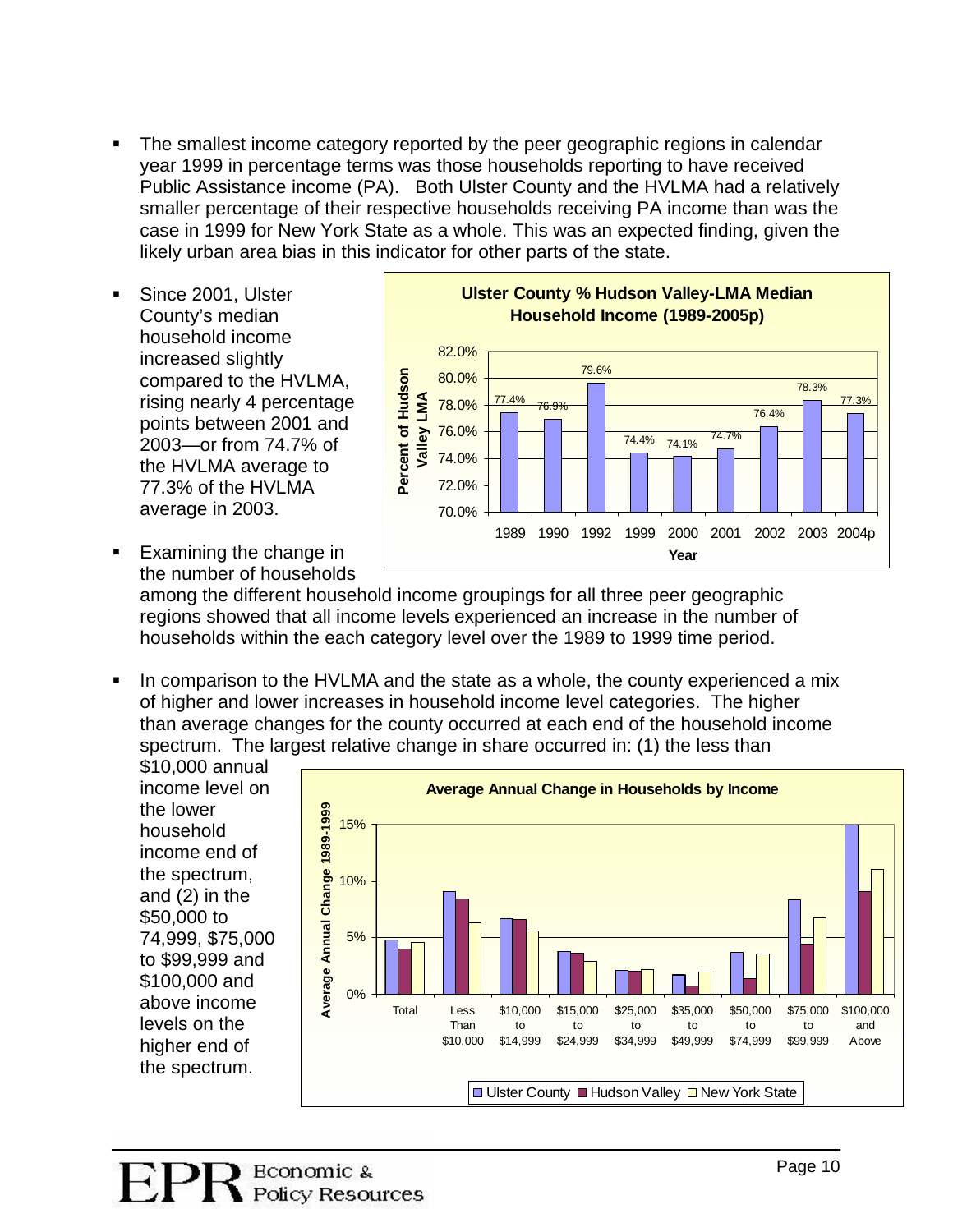- The smallest income category reported by the peer geographic regions in calendar year 1999 in percentage terms was those households reporting to have received Public Assistance income (PA). Both Ulster County and the HVLMA had a relatively smaller percentage of their respective households receiving PA income than was the case in 1999 for New York State as a whole. This was an expected finding, given the likely urban area bias in this indicator for other parts of the state.
- Since 2001, Ulster County's median household income increased slightly compared to the HVLMA, rising nearly 4 percentage points between 2001 and 2003—or from 74.7% of the HVLMA average to 77.3% of the HVLMA average in 2003.
- Examining the change in the number of households



among the different household income groupings for all three peer geographic regions showed that all income levels experienced an increase in the number of households within the each category level over the 1989 to 1999 time period.

 In comparison to the HVLMA and the state as a whole, the county experienced a mix of higher and lower increases in household income level categories. The higher than average changes for the county occurred at each end of the household income spectrum. The largest relative change in share occurred in: (1) the less than

\$10,000 annual income level on the lower household income end of the spectrum, and (2) in the \$50,000 to 74,999, \$75,000 to \$99,999 and \$100,000 and above income levels on the higher end of the spectrum.

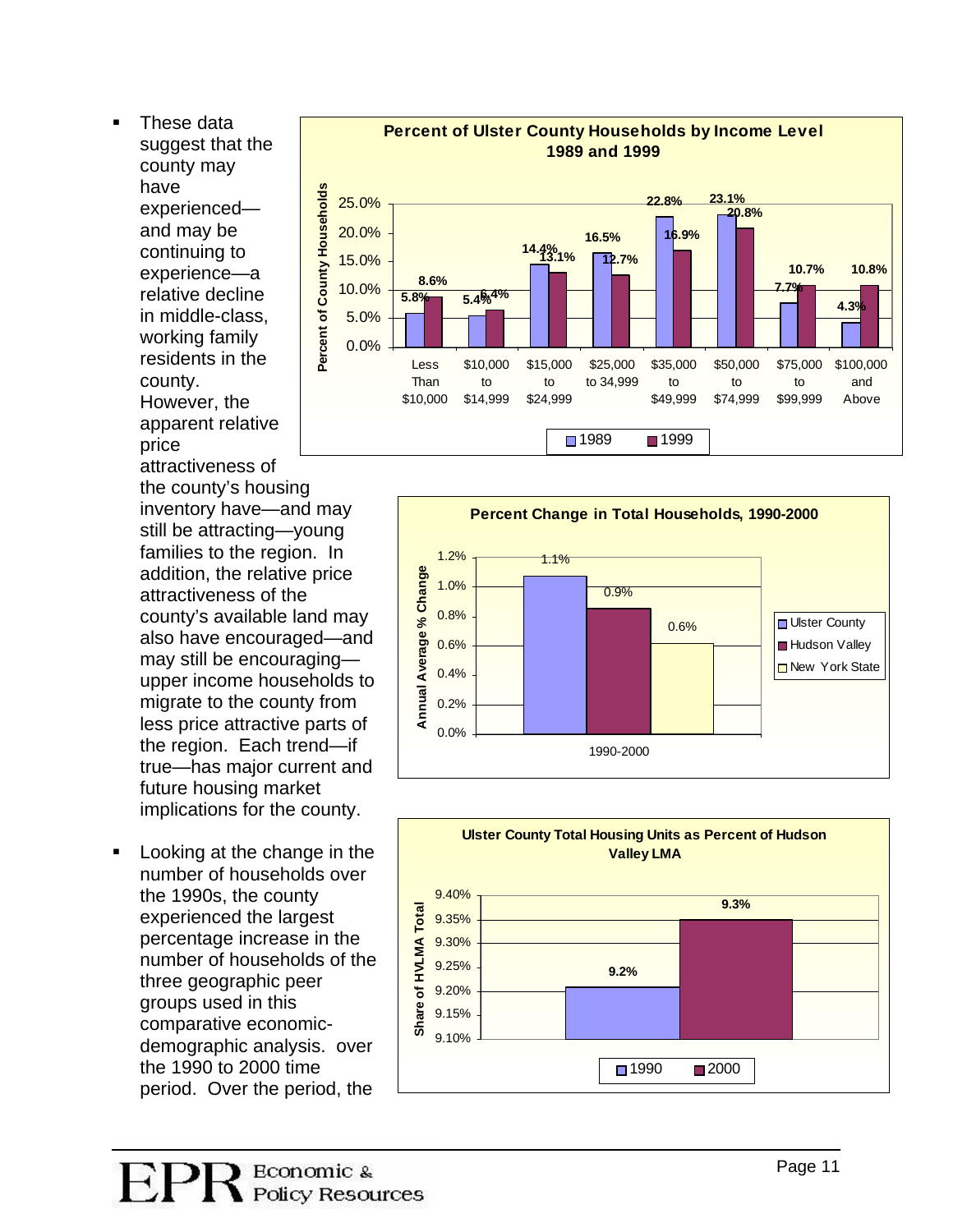These data suggest that the county may have experienced and may be continuing to experience—a relative decline in middle-class, working family residents in the county. However, the apparent r elative price

attractiveness of the county's housing inventory have—and may still be attracting—young families to the region. In addition, the relative price attractiveness of the county's available land may also have encouraged—and may still be encouraging upper income households to migrate to the county from less price attractive parts of the region. Each trend—if true—has major current and future housing market implications for the county.

 Looking at the change in the number of households over the 1990s, the county experienced the largest percentage increase in the number of households of the three geographic peer groups used in this comparative economicdemographic analysis. over the 1990 to 2000 time period. Over the period, the





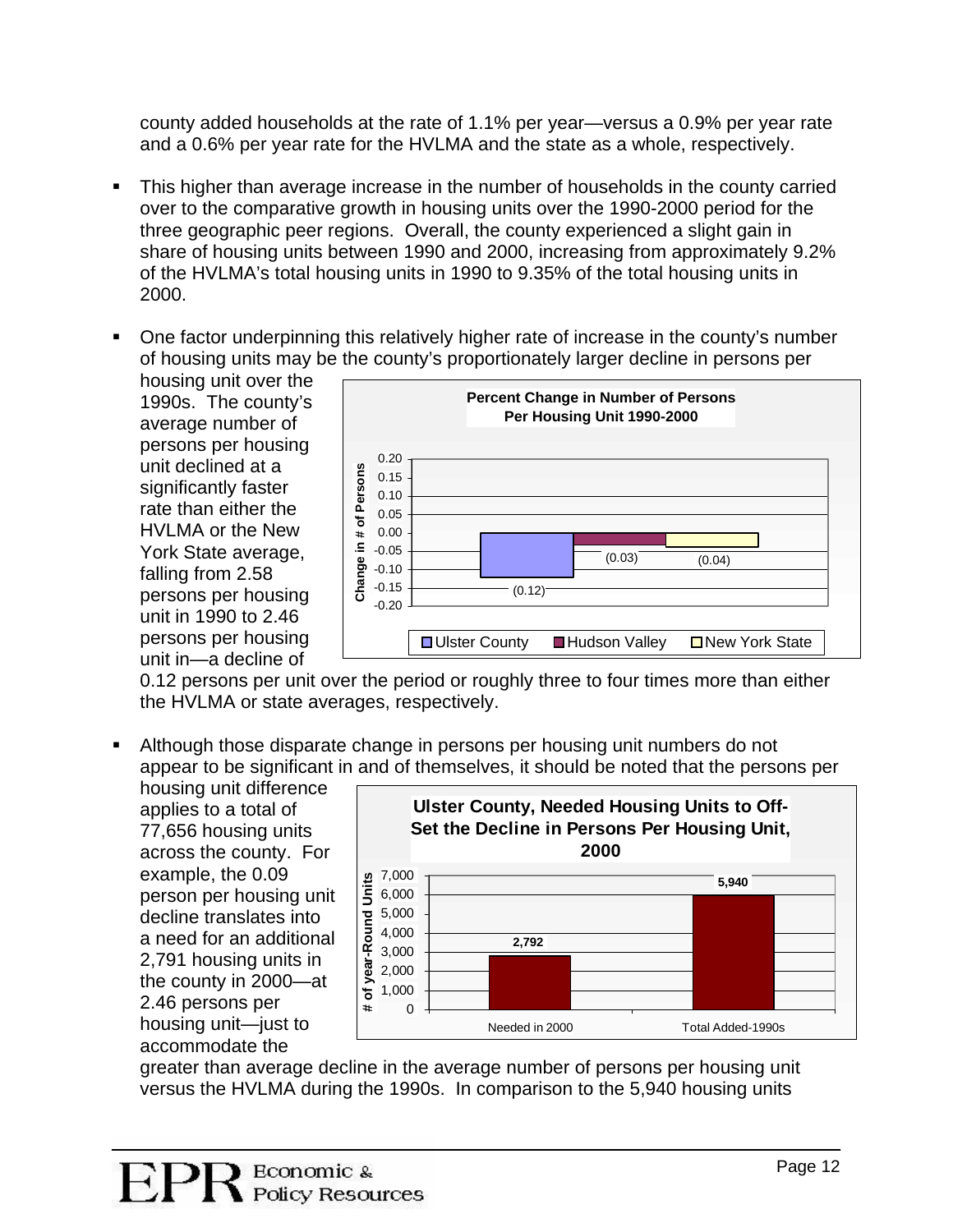county added households at the rate of 1.1% per year—versus a 0.9% per year rate and a 0.6% per year rate for the HVLMA and the state as a whole, respectively.

- This higher than average increase in the number of households in the county carried over to the comparative growth in housing units over the 1990-2000 period for the three geographic peer regions. Overall, the county experienced a slight gain in share of housing units between 1990 and 2000, increasing from approximately 9.2% of the HVLMA's total housing units in 1990 to 9.35% of the total housing units in 2000.
- One factor underpinning this relatively higher rate of increase in the county's number of housing units may be the county's proportionately larger decline in persons per

housing unit over the 1990s. The county's average number of persons per housing unit declined at a significantly faster rate than either the HVI MA or the New York State average, falling from 2.58 persons per housing unit in 1990 to 2.46 persons per housing unit in—a decline of



0.12 persons per unit over the period or roughly three to four times more than either the HVLMA or state averages, respectively.

 Although those disparate change in persons per housing unit numbers do not appear to be significant in and of themselves, it should be noted that the persons per

housing unit difference applies to a total of 77,656 housing units across the county. For example, the 0.09 person per housing u nit decline translates into a need for an addit ional 2,791 housing units in the county in 2000— at 2.46 persons per housing unit—just to accommodate the



greater than average decline in the average number of persons per housing unit versus the HVLMA during the 1990s. In comparison to the 5,940 housing units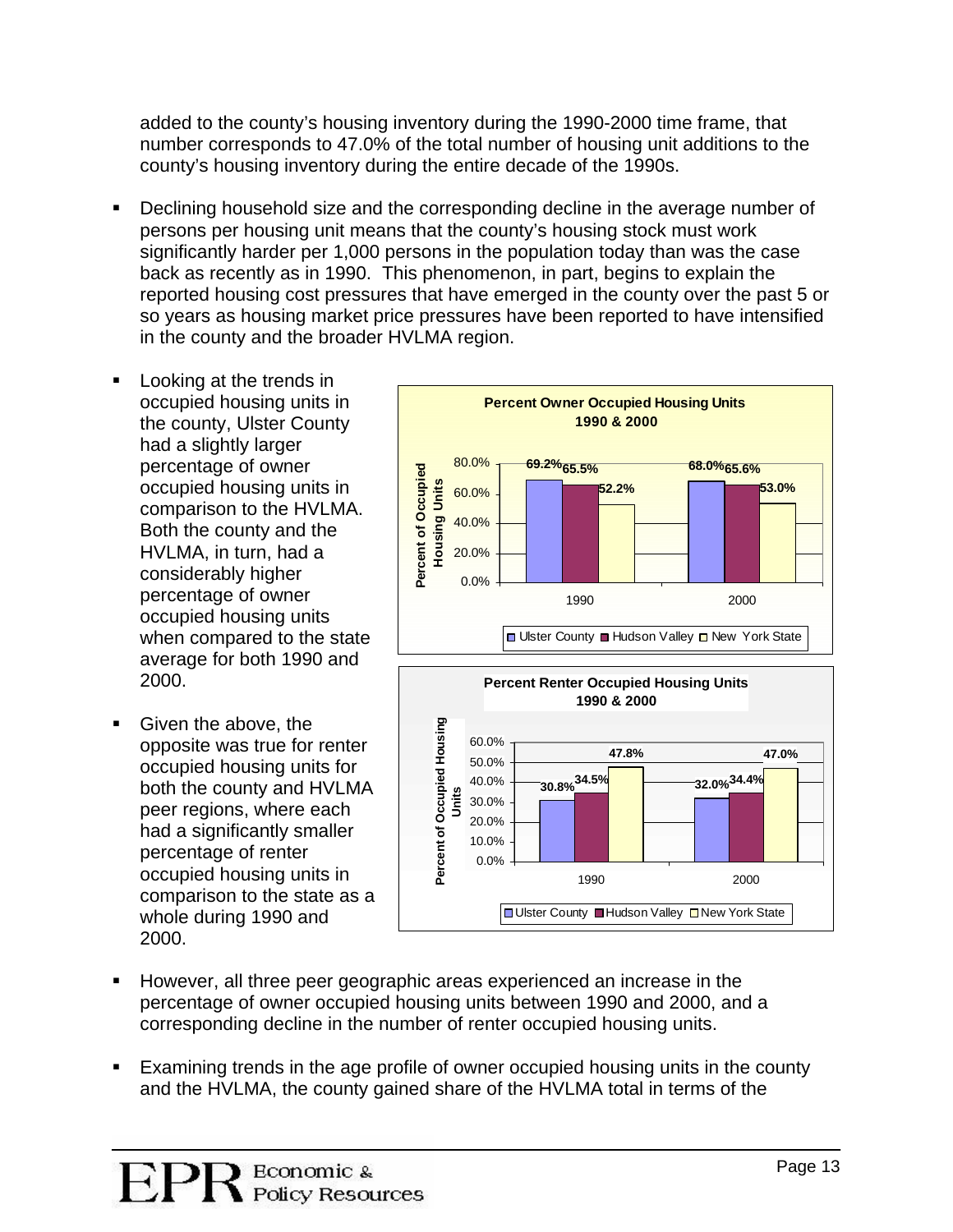added to the county's housing inventory during the 1990-2000 time frame, that number corresponds to 47.0% of the total number of housing unit additions to the county's housing inventory during the entire decade of the 1990s.

- Declining household size and the corresponding decline in the average number of persons per housing unit means that the county's housing stock must work significantly harder per 1,000 persons in the population today than was the case back as recently as in 1990. This phenomenon, in part, begins to explain the reported housing cost pressures that have emerged in the county over the past 5 or so years as housing market price pressures have been reported to have intensified in the county and the broader HVLMA region.
- **Looking at the trends in** occupied housing units in the county, Ulster County had a slightly larger percentage of owner occupied housing units in comparison to the HVLMA. Both the county and the HVLMA, in turn, had a considerably higher percentage of owner occupied housing units when compared to the state average for both 1990 and 2000.
- Given the above, the opposite was true for renter occupied housing units for both the county and HVLMA peer regions, where each had a significantly smaller percentage of renter occupied housing units in comparison to the state as a whole during 1990 and 2000.





- However, all three peer geographic areas experienced an increase in the percentage of owner occupied housing units between 1990 and 2000, and a corresponding decline in the number of renter occupied housing units.
- Examining trends in the age profile of owner occupied housing units in the county and the HVLMA, the county gained share of the HVLMA total in terms of the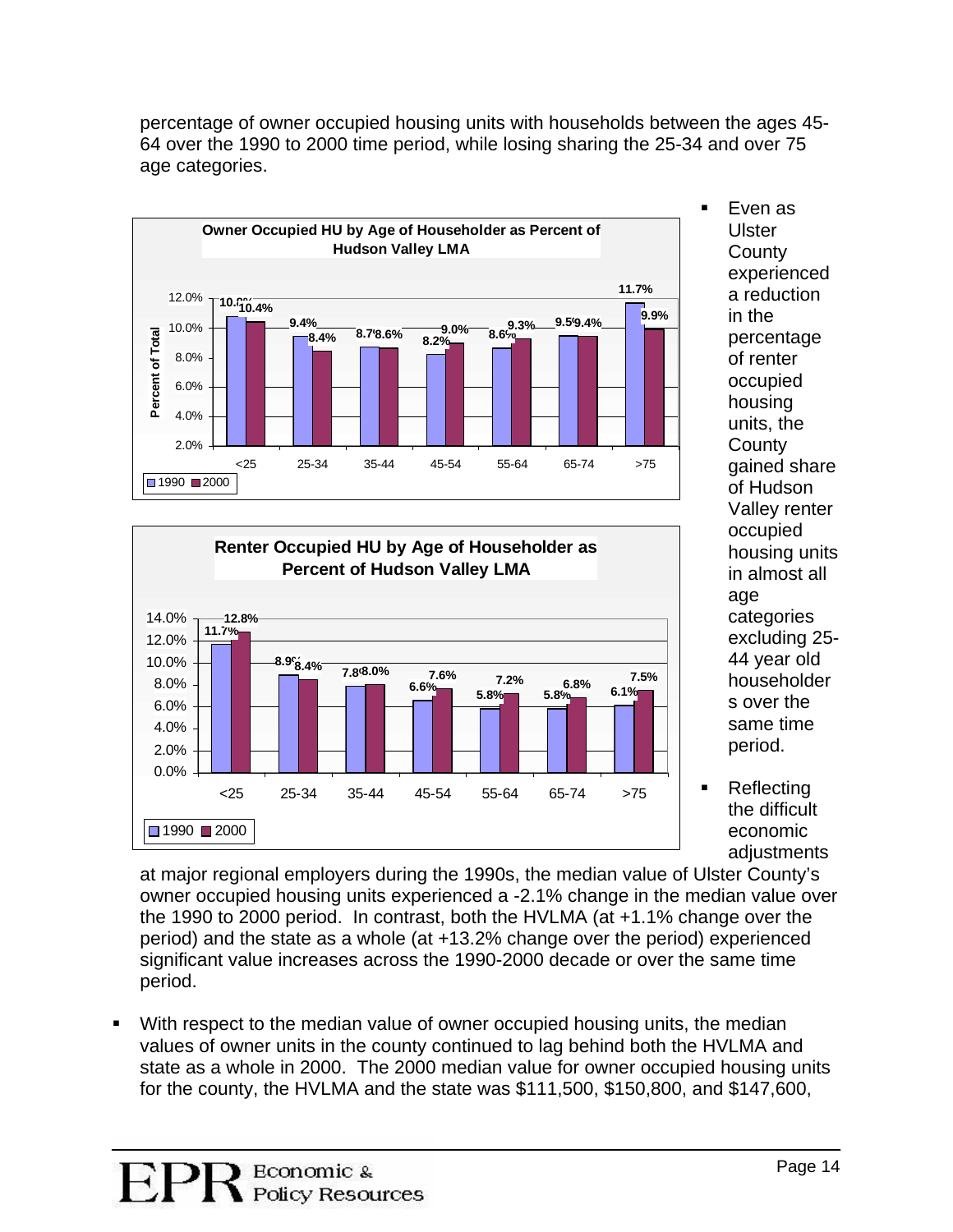

percentage of owner occupied housing units with households between the ages 45- 64 over the 1990 to 2000 time period, while losing sharing the 25-34 and over 75 age categories.



 Even as Ulster **County** experienced a reduction in the percentage of renter occupied housing units, the **County** gained share of Hudson Valley renter occupied housing units in almost all age categories excluding 2 5- 44 year old householder s over the same time period.

**Reflecting** the difficult economic adjustments

owner occupied housing units experienced a -2.1% change in the median value over at major regional employers during the 1990s, the median value of Ulster County's the 1990 to 2000 period. In contrast, both the HVLMA (at +1.1% change over the period) and the state as a whole (at +13.2% change over the period) experienced significant value increases across the 1990-2000 decade or over the same time period.

 With respect to the median value of owner occupied housing units, the median values of owner units in the county continued to lag behind both the HVLMA and state as a whole in 2000. The 2000 median value for owner occupied housing units for the county, the HVLMA and the state was \$111,500, \$150,800, and \$147,600,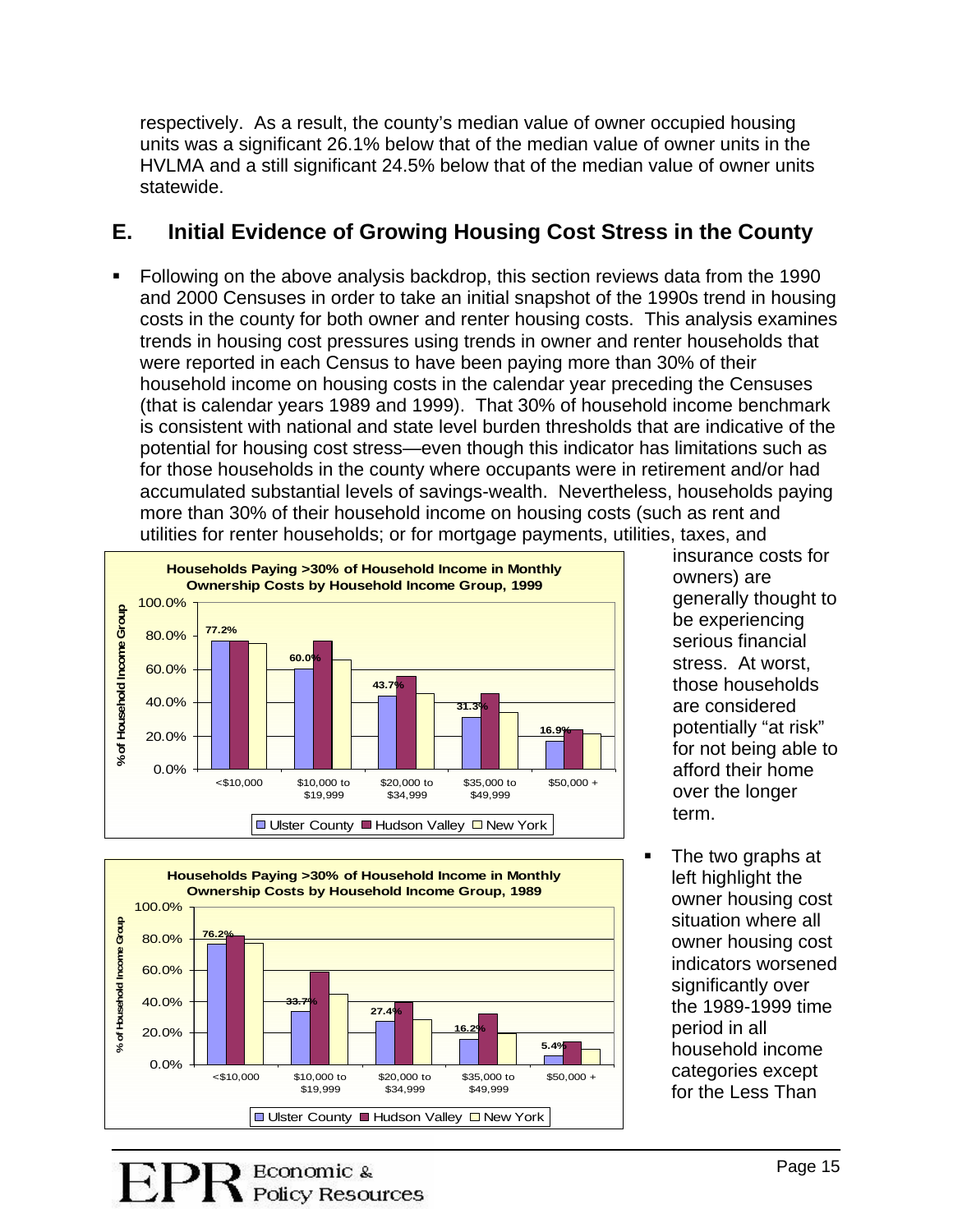respectively. As a result, the county's median value of owner occupied housing units was a significant 26.1% below that of the median value of owner units in the HVLMA and a still significant 24.5% below that of the median value of owner units statewide.

## **E. Initial Evidence of Growing Housing Cost Stress in the County**

 Following on the above analysis backdrop, this section reviews data from the 1990 and 2000 Censuses in order to take an initial snapshot of the 1990s trend in housing costs in the county for both owner and renter housing costs. This analysis examines trends in housing cost pressures using trends in owner and renter households that were reported in each Census to have been paying more than 30% of their household income on housing costs in the calendar year preceding the Censuses (that is calendar years 1989 and 1999). That 30% of household income benchmark is consistent with national and state level burden thresholds that are indicative of the potential for housing cost stress—even though this indicator has limitations such as for those households in the county where occupants were in retirement and/or had accumulated substantial levels of savings-wealth. Nevertheless, households paying more than 30% of their household income on housing costs (such as rent and utilities for renter households; or for mortgage payments, utilities, taxes, and





insurance costs for owners) ar e generally thought to be experien cing serious financial stress. At worst, those households are considered potentially "at risk " for not being able to afford their home over the longer term.

 The two graphs at left highlight the situation where all categories except owner housing cost owner housing cost indicators worsened significantly over the 1989-1999 time period in all household income for the Less Than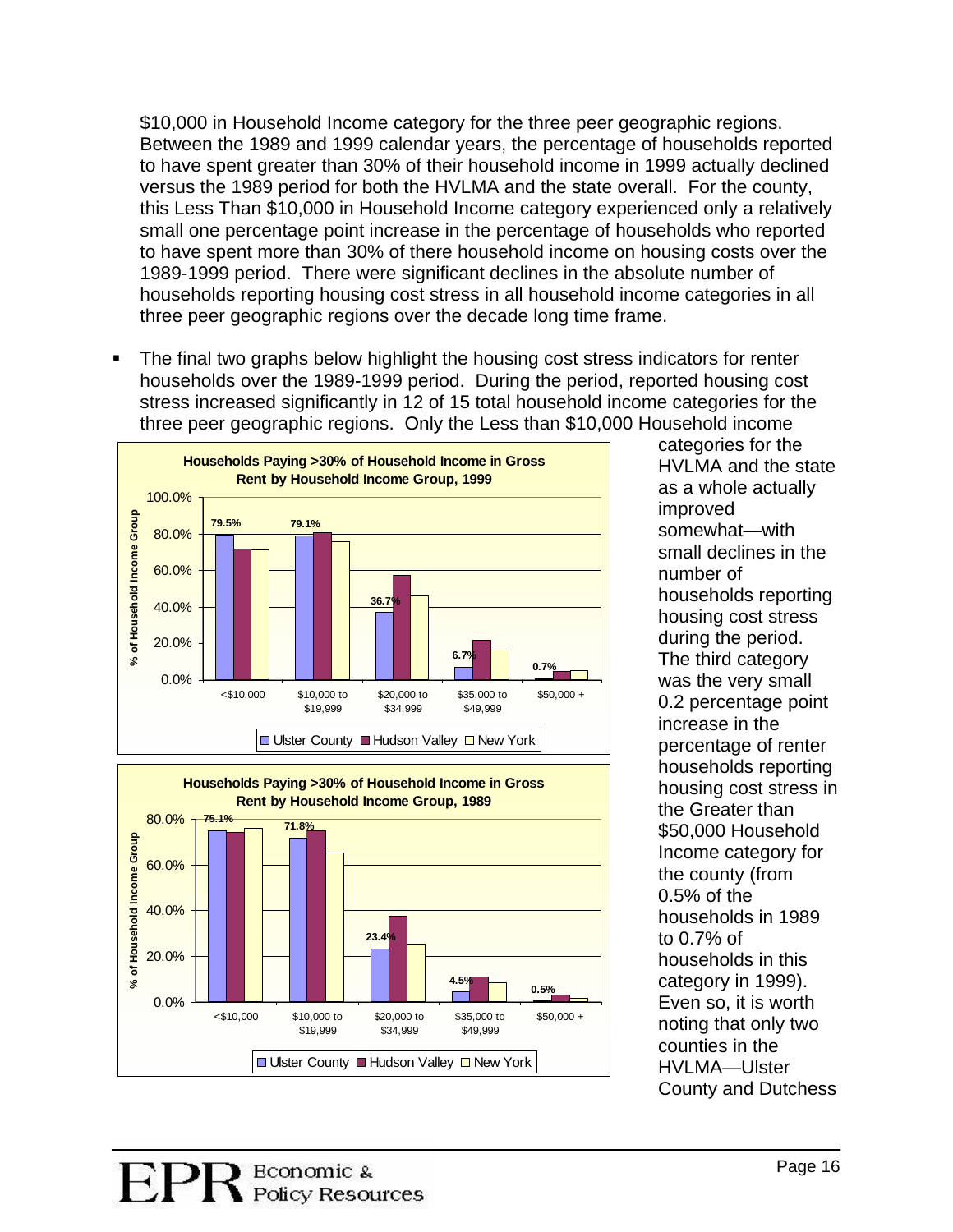\$10,000 in Household Income category for the three peer geographic regions. Between the 1989 and 1999 calendar years, the percentage of households report ed to have spent greater than 30% of their household income in 1999 actually d eclined versus the 1989 period for both the HVLMA and the state overall. For the county , this Less Than \$10,000 in Household Income category experienced only a relatively small one percentage point increase in the percentage of households who reported to have spent more than 30% of there household income on housing costs over the 1989-1999 period. There were significant declines in the absolute number of households reporting housing cost stress in all household income categories in all three peer geographic regions over the decade long time frame.

The final two graphs below highlight the housing cost stress indicators for renter . households over the 1989-1999 period. During the period, reported housing cost stress increased significantly in 12 of 15 total household income categories for the three peer geographic regions. Only the Less than \$10,000 Household income





HVLMA and the state somewhat-with small declines in the households reporting 0.2 percentage point percentage of renter \$50,000 Household households in 1989 households in this County and Dutchess categories for the as a whole actually improved number of housing cost stress during the period. The third category was the very small increase in the households reporting housing cost stress in the Greater than Income category for the county (from 0.5% of the to 0.7% of category in 1999). Even so, it is worth noting that only two counties in the HVLMA—Ulster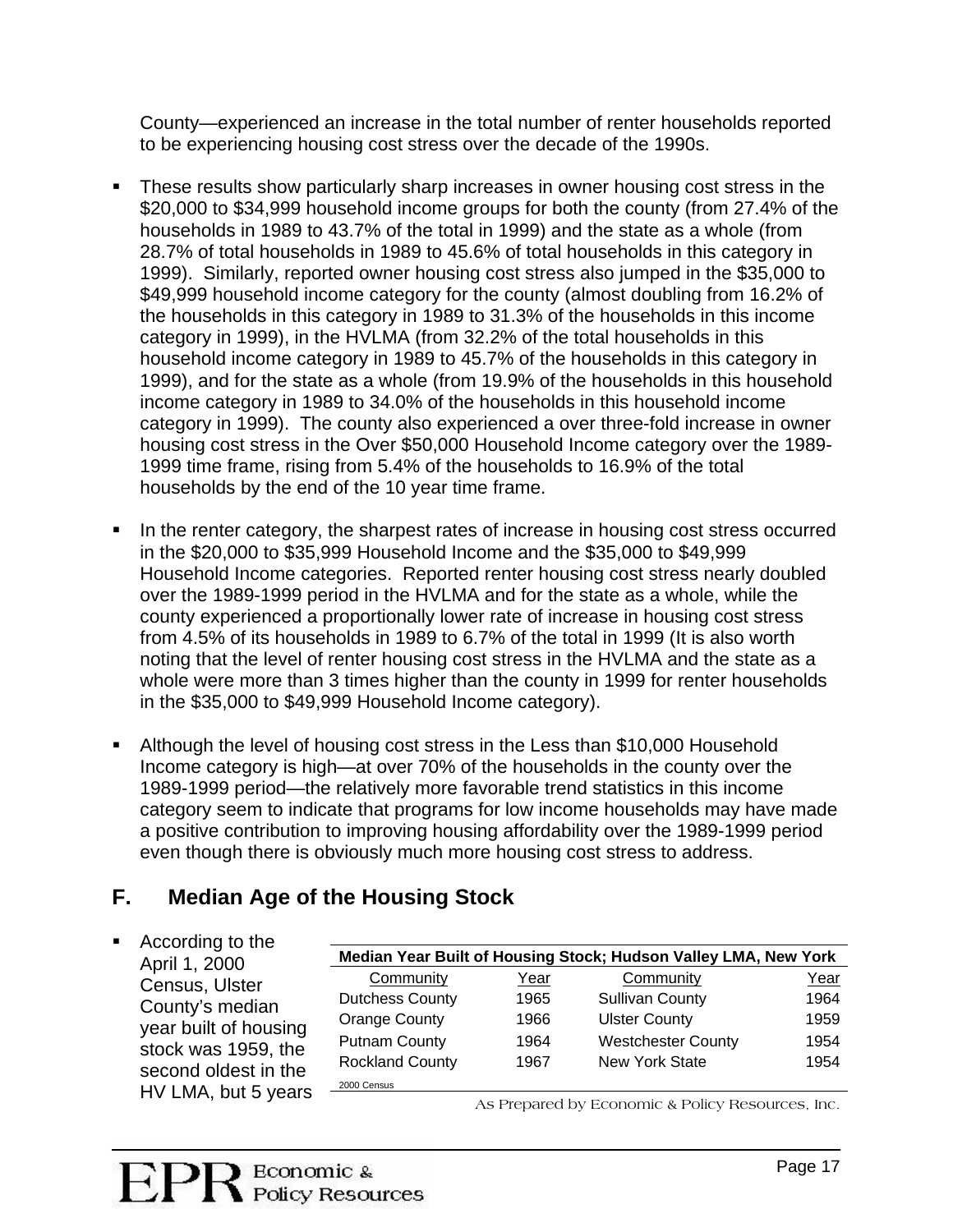County—experienced an increase in the total number of renter households reported to be experiencing housing cost stress over the decade of the 1990s.

- These results show particularly sharp increases in owner housing cost stress in the household income category in 1989 to 45.7% of the households in this category in category in 1999). The county also experienced a over three-fold increase in owner . \$20,000 to \$34,999 household income groups for both the county (from 27.4% of the households in 1989 to 43.7% of the total in 1999) and the state as a whole (from 28.7% of total households in 1989 to 45.6% of total households in this category in 1999). Similarly, reported owner housing cost stress also jumped in the \$35,000 to \$49,999 household income category for the county (almost doubling from 16.2% of the households in this category in 1989 to 31.3% of the households in this income category in 1999), in the HVLMA (from 32.2% of the total households in this 1999), and for the state as a whole (from 19.9% of the households in this household income category in 1989 to 34.0% of the households in this household income housing cost stress in the Over \$50,000 Household Income category over the 1989- 1999 time frame, rising from 5.4% of the households to 16.9% of the total households by the end of the 10 year time frame.
- In the renter category, the sharpest rates of increase in housing cost stress occurred Household Income categories. Reported renter housing cost stress nearly doubled noting that the level of renter housing cost stress in the HVLMA and the state as a . in the \$20,000 to \$35,999 Household Income and the \$35,000 to \$49,999 over the 1989-1999 period in the HVLMA and for the state as a whole, while the county experienced a proportionally lower rate of increase in housing cost stress from 4.5% of its households in 1989 to 6.7% of the total in 1999 (It is also worth whole were more than 3 times higher than the county in 1999 for renter households in the \$35,000 to \$49,999 Household Income category).
- **Although the level of housing cost stress in the Less than \$10,000 Household** category seem to indicate that programs for low income households may have made Income category is high—at over 70% of the households in the county over the 1989-1999 period—the relatively more favorable trend statistics in this income a positive contribution to improving housing affordability over the 1989-1999 period even though there is obviously much more housing cost stress to address.

#### **. Median Age of the Housing Stock F**

■ According to the April 1, 2000 Census, Ulster County's median year built of housing stock was 1959, the second oldest in the HV LMA, but 5 years **edian Year Built of Housing Stock; Hudson Valley LMA, New York M** Community Year Community Year Dutchess County 1965 Putnam County 1964 Westchester County 1954 Sullivan County 1964 Orange County 1966 Ulster County 1959 Rockland County 1967 New York State 1954 2000 Census

As Prepared by Economic & Policy Resources, Inc.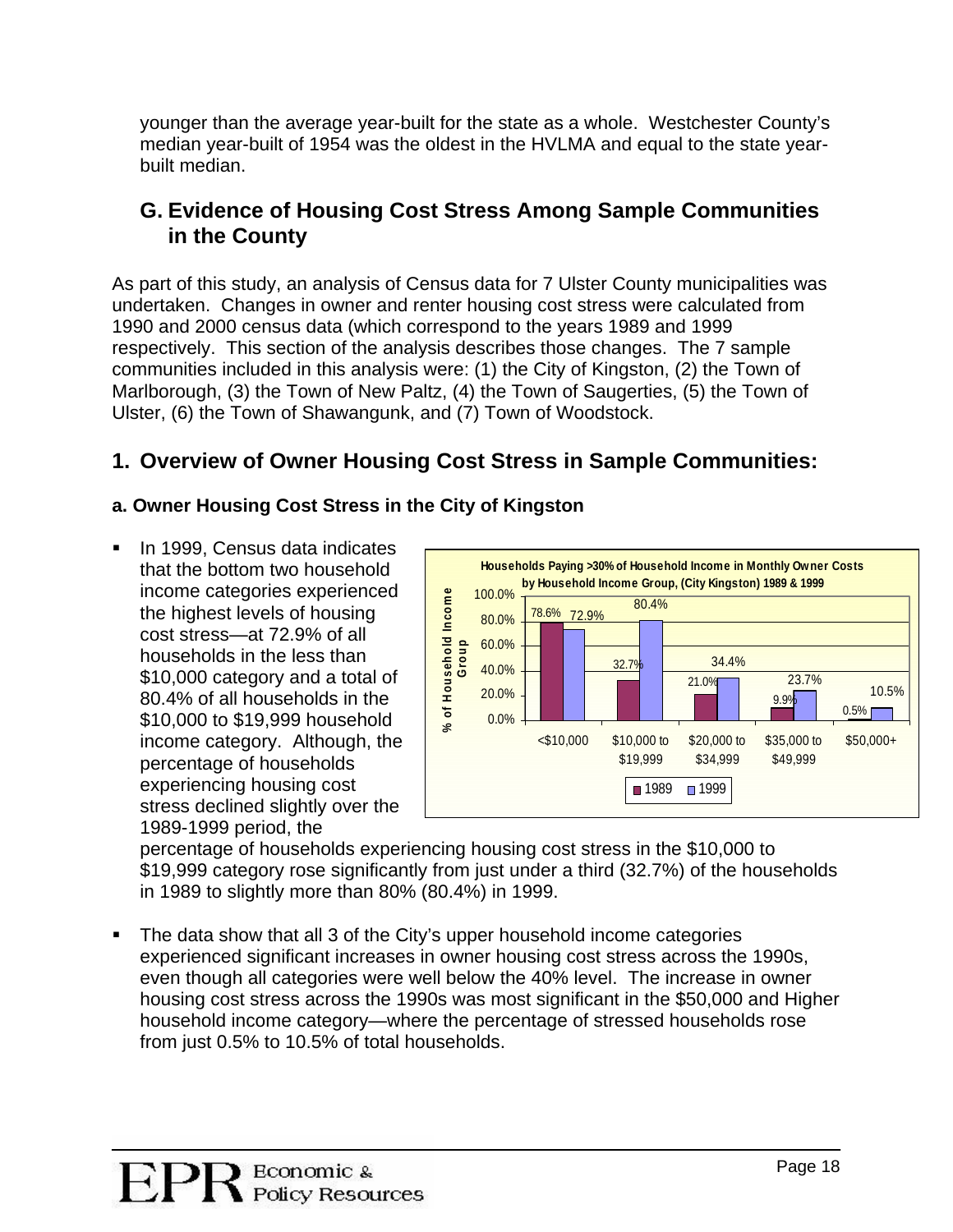younger than the average year-built for the state as a whole. Westchester County's median year-built of 195 4 was the oldest in the HVLMA and equal to the state yearbuilt median.

## **G. Evidence of Housing Cost Stress Among Sample Communities in the County**

As part of this study, an analysis of Census data for 7 Ulster County municipalities was und ertaken. Changes in owner and renter housing cost stress were calculated from 1990 and 2000 census data (which correspond to the years 1989 and 1999 respectively. This section of the analysis describes those changes. The 7 sample communities included in this analysis were: (1) the City of Kingston, (2) the Town of Marlborough, (3) the Town of New Paltz, (4) the Town of Saugerties, (5) the Town of Ulster, (6) the Town of Shawangunk, and (7) Town of Woodstock.

# **: 1. Overview of Owner Housing Cost Stress in Sample Communities**

## **a. Owner Housing Cost Stress in the City of Kingston**

\$10,000 to \$19,999 household income category. Although, the **In 1999, Census data indicates** that the bottom two household income categories experienced the highest levels of housing cost stress—at 72.9% of all households in the less than \$10,000 category and a total of 80.4% of all households in the percentage of households experiencing housing cost stress declined slightly over the 1989-1999 period, the



\$19,999 category rose significantly from just under a third (32.7%) of the households in 1989 to slightly more than 80% (80.4%) in 1999. percentage of households experiencing housing cost stress in the \$10,000 to

. housing cost stress across the 1990s was most significant in the \$50,000 and Higher household income category—where the percentage of stressed households rose The data show that all 3 of the City's upper household income categories experienced significant increases in owner housing cost stress across the 1990s, even though all categories were well below the 40% level. The increase in owner from just 0.5% to 10.5% of total households.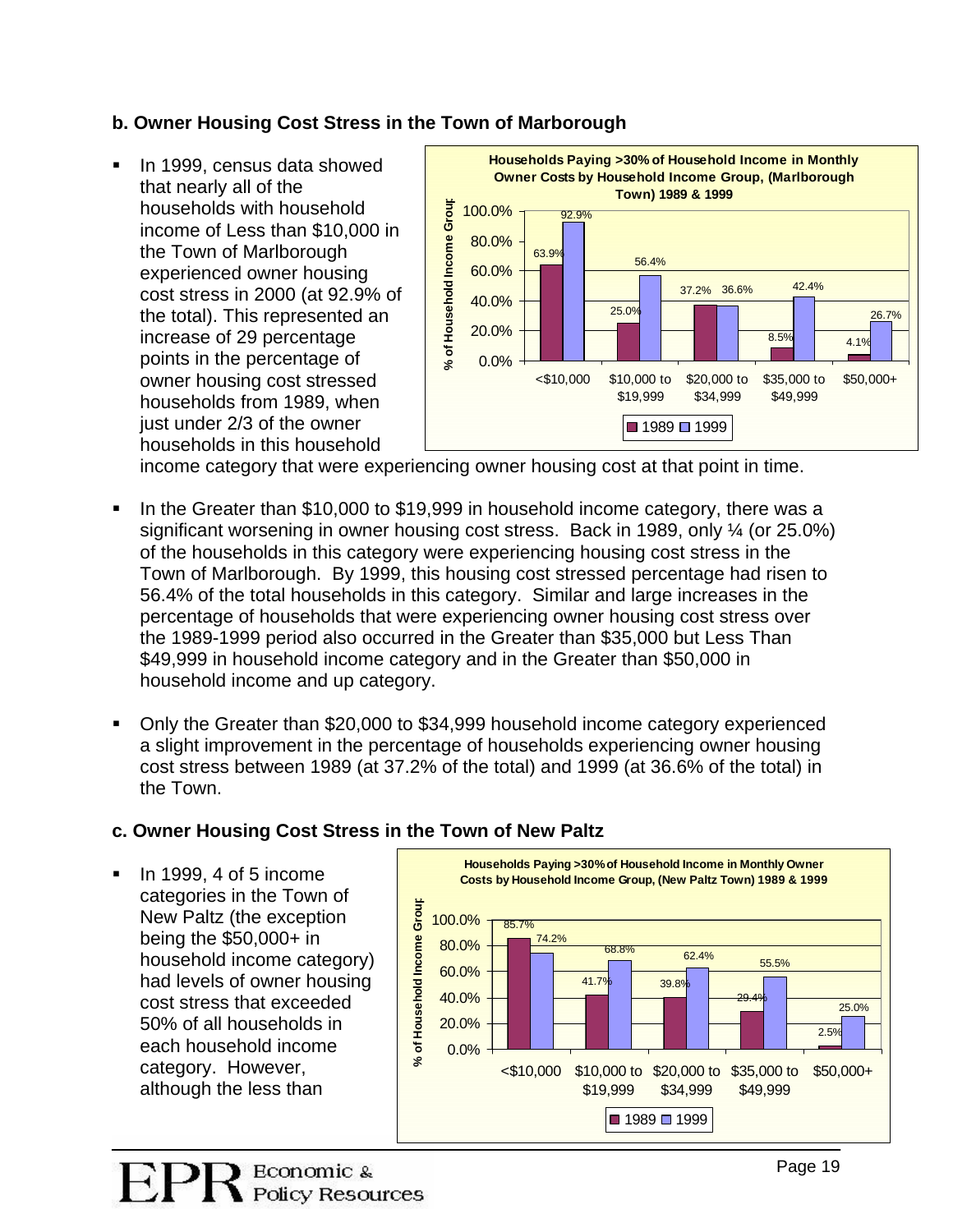### **b. O wner Housing Cost Stress in the Town of Marborough**

In 1999, census data showed that nearly all of the households with household the Town of Marlborough cost stress in 2000 (at 92.9% of the total). This represented an points in the percentage of households in this household . income of Less than \$10,000 in experienced owner housing increase of 29 percentage owner housing cost stressed households from 1989, when just under 2/3 of the owner



income category that were experiencing owner housing cost at that point in time.

- If ln the Greater than \$10,000 to \$19,999 in household income category, there was a significant worsening in owner housing cost stress. Back in 1989, only  $\frac{1}{4}$  (or 25.0%) of the households in this category were experiencing housing cost stress in the Town of Marlborough. By 1999, this housing cost stressed percentage had risen to 56.4% of the total households in this category. Similar and large increases in the percentage of households that were experiencing owner housing cost stress over the 1989-1999 period also occurred in the Greater than \$35,000 but Less Than \$49,999 in household income category and in the Greater than \$50,000 in household income and up category.
- Only the Greater than \$20,000 to \$34,999 household income category experienced cost stress between 1989 (at 37.2% of the total) and 1999 (at 36.6% of the total) in a slight improvement in the percentage of households experiencing owner housing the Town.

#### **. Owner Housing Cost Stress in the Town of New Paltz c**

New Paltz (the exception being the \$50,000+ in household income category) had levels of owner housing cost stress that exceeded 50% of all households in In 1999, 4 of 5 income categories in the Town of **Households Paying >30% of Household Income in Monthly Owner Costs by Household Income Group, (New Paltz Town) 1989 & 1999 Household Income Group** 85.7% 41.7% 39.8% 29.4% 2.5% 55.5% 25.0%  $68.8\%$  68.8% 74.2%  $0.0\%$ 20.0% 40.0% 60.0% 80.0% 100.0% <\$10,000 \$10,000 to \$20,000 to \$35,000 to \$19,999 \$34,999 \$49,999 **EXECUTE 100.0%**<br> **EXECUTE BO.00%**<br> **EXECUTE DESCRIPS**<br> **EXECUTE DESCRIPS**<br> **EXECUTE DESCRIPS**<br> **EXECUTE DESCRIPS**<br> **EXECUTE DESCRIPS**<br> **EXECUTE DESCRIPS**<br> **EXECUTE DESCRIPS**<br> **EXECUTE DESCRIPS**<br> **EXECUTE DESCRIPS**<br> **EXEC**  $1989 \square 1999$ each household income category. However, although the less than

.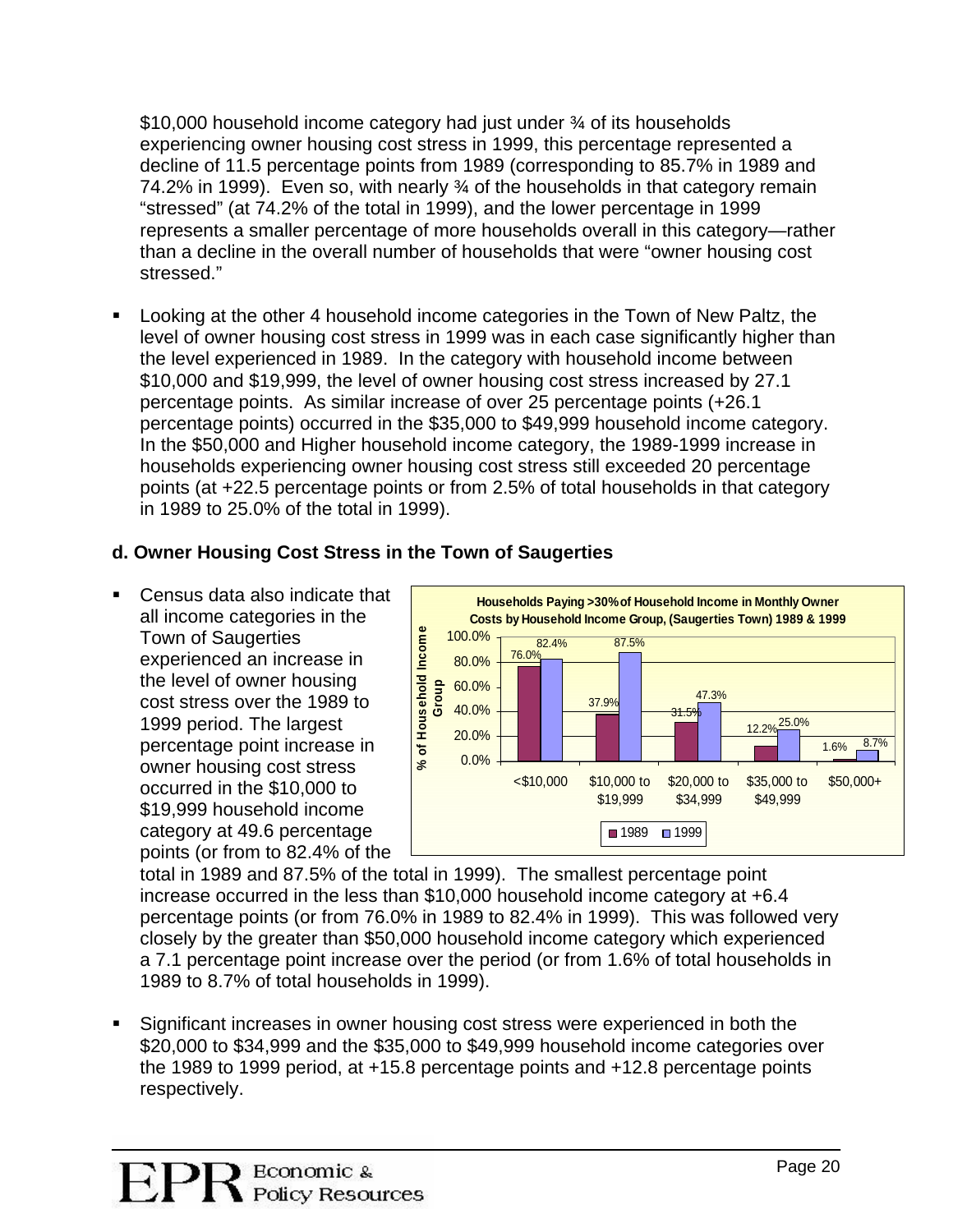\$10,000 household income category had just under ¾ of its households experiencing owner housing cost stress in 1999, this percentage represented a decline of 11.5 percentage points from 1989 (corresponding to 85.7% in 1989 and 74.2% in 1999). Even so, with nearly  $\frac{3}{4}$  of the households in that category remain "stressed" (at 74.2% of the total in 1999), and the lower percentage in 1999 represents a smaller percentage of more households overall in this category—r ather than a decline in the overall number of households that were "owner housing cost stressed."

**Looking at the other 4 household income categories in the Town of New Paltz, the** level of owner housing cost stress in 1999 was in each case significantly higher than percentage points) occurred in the \$35,000 to \$49,999 household income category. In the \$50,000 and Higher household income category, the 1989-1999 increase in the level experienced in 1989. In the category with household income between \$10,000 and \$19,999, the level of owner housing cost stress increased by 27.1 percentage points. As similar increase of over 25 percentage points (+26.1 households experiencing owner housing cost stress still exceeded 20 percentage points (at +22.5 percentage points or from 2.5% of total households in that category in 1989 to 25.0% of the total in 1999).

### **d. O wn of Saugerties wner Housing Cost Stress in the To**

all income categories in the the level of owner housing points (or from to 82.4% of the ■ Census data also indicate that Town of Saugerties experienced an increase in cost stress over the 1989 to 1999 period. The largest percentage point increase in owner housing cost stress occurred in the \$10,000 to \$19,999 household income category at 49.6 percentage



total in 1989 and 87.5% of the total in 1999). The smallest percentage point increase occurred in the less than  $$10,000$  household income category at  $+6.4$ percentage points (or from 76.0% in 1989 to 82.4% in 1999). This was followed very closely by the greater than \$50,000 household income category which experienced a 7.1 percentage point increase over the period (or from 1.6% of total households in 1989 to 8.7% of total households in 1999).

Significant increases in owner housing cost stress were experienced in both the \$20,000 to \$34,999 and the \$35,000 to \$49,999 household income categories over the 1989 to 1999 period, at +15.8 percentage points and +12.8 percentage points respectively.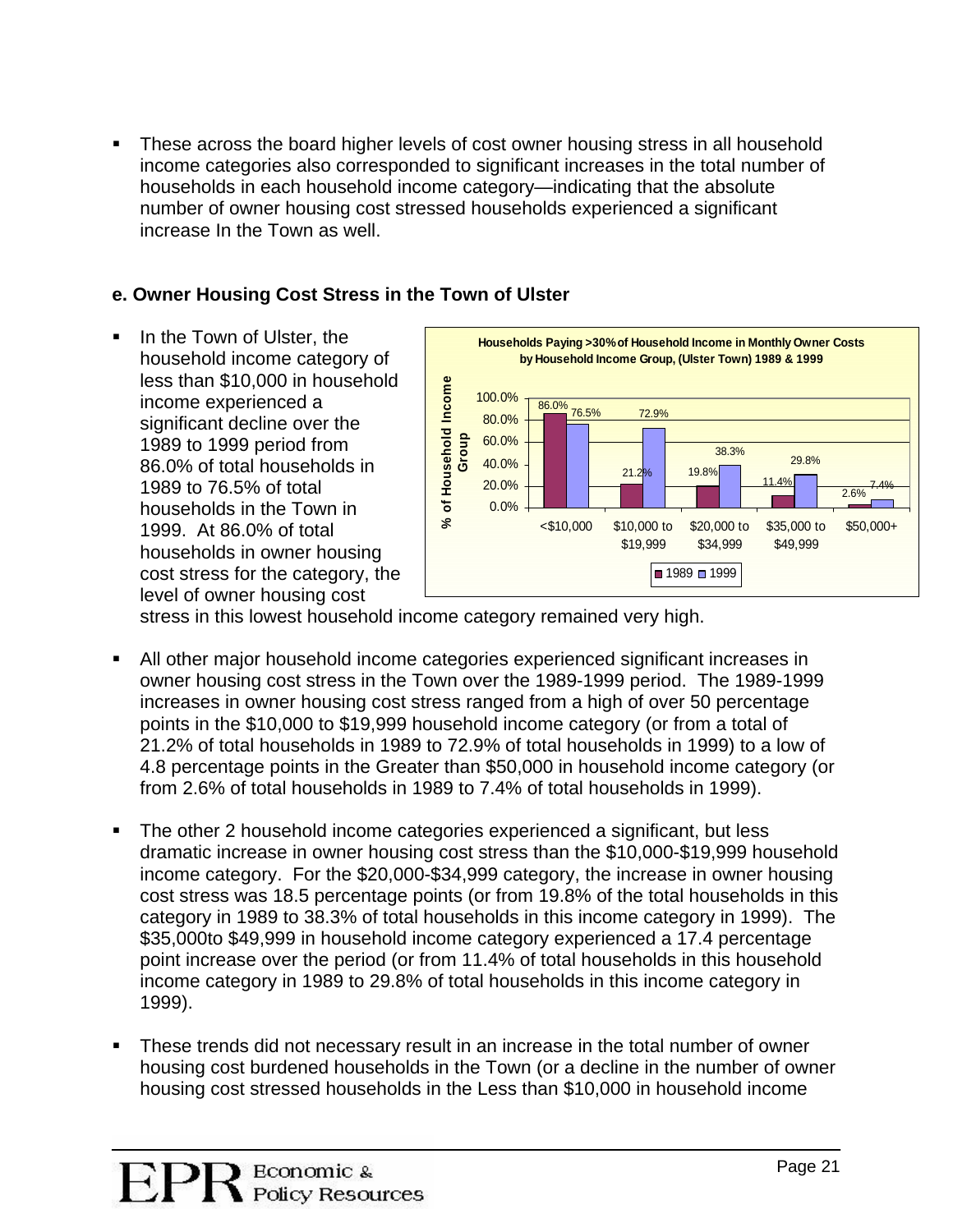• These across the board higher levels of cost owner housing stress in all household income categories also corresponded to significant increases in the total number of households in each household income category—indicating that the absolute number of owner housing cost stressed households experienced a significant increase In the Town as well.

#### **. Owner Housing Cost Stress in the Town of Ulster e**

household income category of less than \$10,000 in household 1989 to 1999 period from 1999. At 86.0% of total households in owner housing cost stress for the category, the In the Town of Ulster, the income experienced a significant decline over the 86.0% of total households in 1989 to 76.5% of total households in the Town in level of owner housing cost



stress in this lowest household in come category remained very high.

- All other major household income categories experienced significant increases in owner housing cost stress in the Town over the 1989-1999 period. The 1989-1999 21.2% of total households in 1989 to 72.9% of total households in 1999) to a low of 4.8 percentage points in the Greater than \$50,000 in household income category (or increases in owner housing cost stress ranged from a high of over 50 percentage points in the \$10,000 to \$19,999 household income category (or from a total of from 2.6% of total households in 1989 to 7.4% of total households in 1999).
- . dramatic increase in owner housing cost stress than the \$10,000-\$19,999 household income category. For the \$20,000-\$34,999 category, the increase in owner housing The other 2 household income categories experienced a significant, but less cost stress was 18.5 percentage points (or from 19.8% of the total households in this category in 1989 to 38.3% of total households in this income category in 1999). The \$35,000to \$49,999 in household income category experienced a 17.4 percentage point increase over the period (or from 11.4% of total households in this household income category in 1989 to 29.8% of total households in this income category in 1999).
- These trends did not necessary result in an increase in the total number of owner housing cost burdened households in the Town (or a decline in the number of owner housing cost stressed households in the Less than \$10,000 in household income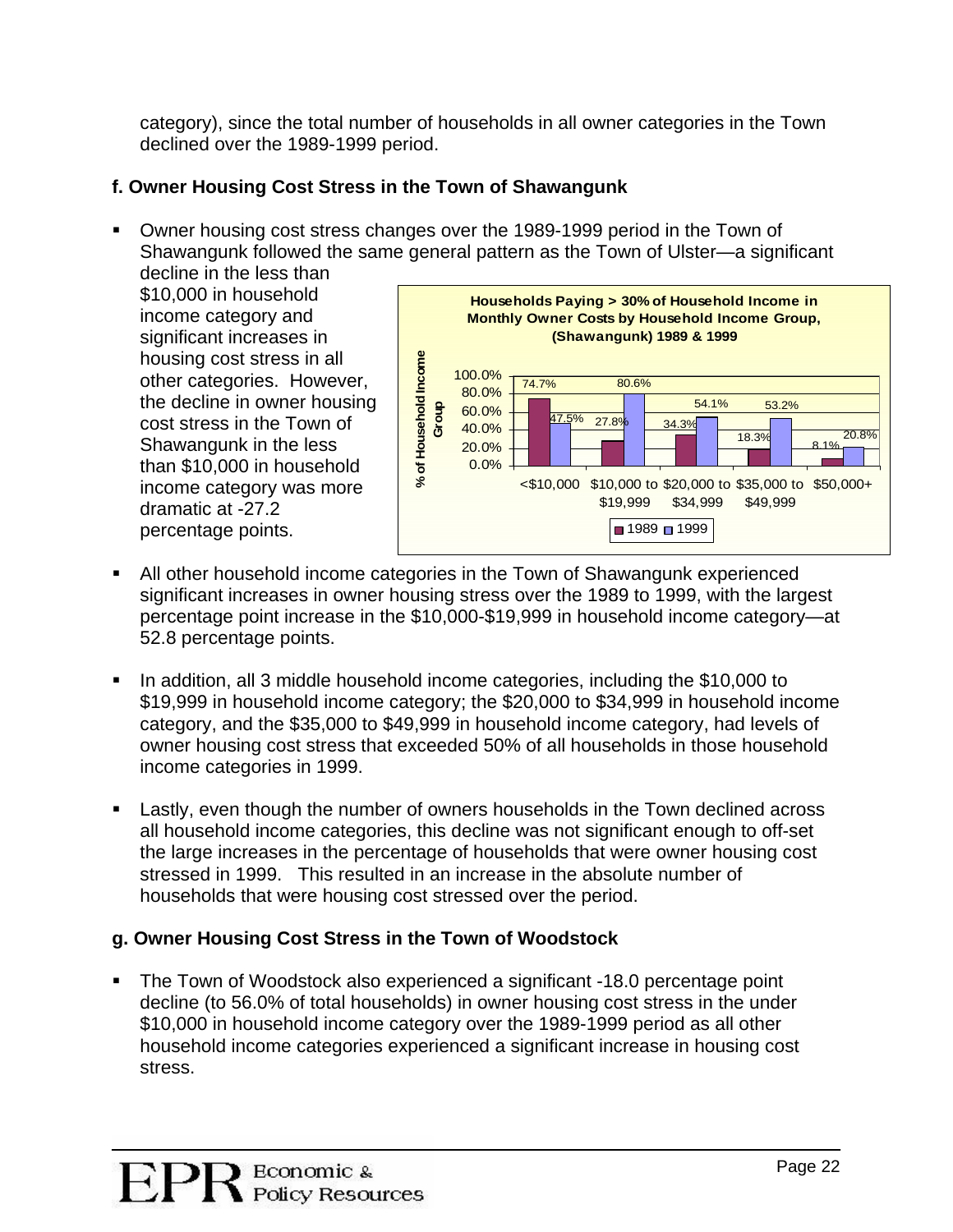category), since the total number of households in all owner categories in the Town declined over the 1989-1999 period.

## **f. Owner Housing Cost Stress in the Town of Shawangunk**

Owner housing cost stress changes over the 1989-1999 period in the Town of Shawangunk followed the same general pattern as the Town of Ulster—a significant decline in the less than

housing cost stress in all other categories. However, the decline in owner housing \$10,000 in household income category and significant increases in cost stress in the Town of Shawangunk in the less than \$10,000 in household income category was more dramatic at -27.2 percentage points.



- All other household income categories in the Town of Shawangunk experienced significant increases in owner housing stress over the 1989 to 1999, with the largest percentage point increase in the \$10,000-\$19,999 in household income category—at 52.8 percentage points.
- In addition, all 3 middle household income categories, including the \$10,000 to \$19,999 in household income category; the \$20,000 to \$34,999 in household income category, and the \$35,000 to \$49,999 in household income category, had levels of owner housing cost stress that exceeded 50% of all households in those household income categories in 1999.
- **Lastly, even though the number of owners households in the Town declined across** all household income categories, this decline was not significant enough to off-set the large increases in the percentage of households that were owner housing cost stressed in 1999. This resulted in an increase in the absolute number of households that were housing cost stressed over the period.

### **g. O wner Housing Cost Stress in the Town of Woodstock**

The Town of Woodstock also experienced a significant -18.0 percentage point decline (to 56.0% of total households) in owner housing cost stress in the under \$10,000 in household income category over the 1989-1999 period as all other household income categories experienced a significant increase in housing cost . stress.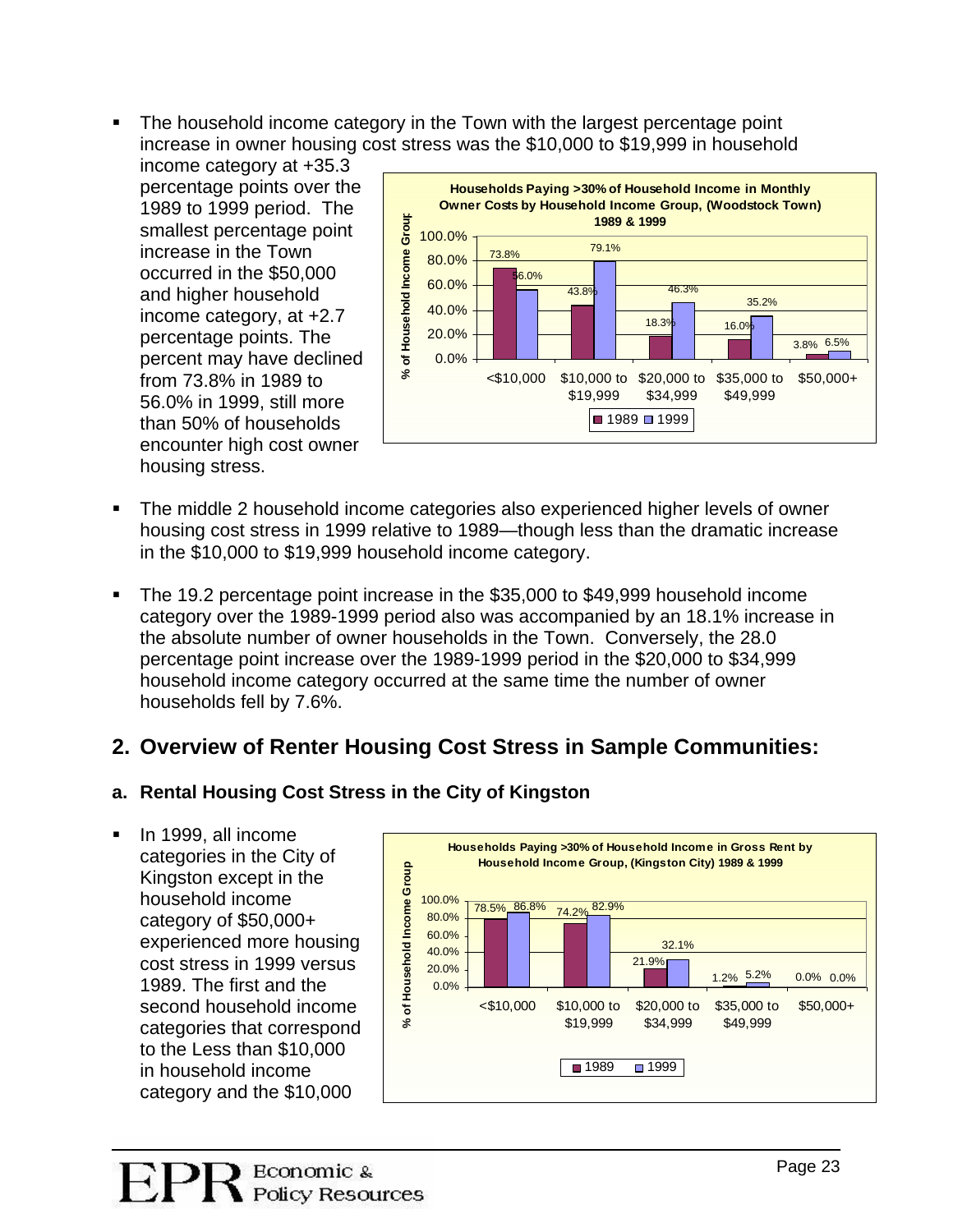. increase in owner housing cost stress was the \$10,000 to \$19,999 in household The household income category in the Town with the largest percentage point

income category at +35.3 income category, at +2.7 percent may have declined than 50% of households encounter high cost owner percentage points over the 1989 to 1999 period. The smallest percentage point increase in the Town occurred in the \$50,000 and higher household percentage points. The from 73.8% in 1989 to 56.0% in 1999, still more housing stress.



- The middle 2 household income categories also experienced higher levels of owner housing cost stress in 1999 relative to 1989—though less than the dramatic increase in the \$10,000 to \$19,999 household income category.
- . category over the 1989-1999 period also was accompanied by an 18.1% increase in the absolute number of owner households in the Town. Conversely, the 28.0 The 19.2 percentage point increase in the \$35,000 to \$49,999 household income percentage point increase over the 1989-1999 period in the \$20,000 to \$34,999 household income category occurred at the same time the number of owner households fell by 7.6%.

# **2. ties: Overview of Renter Housing Cost Stress in Sample Communi**

## **. Rental Housing Cost Stress in the City of Kingston a**

In 1999, all income **Households Paying >30% <sup>o</sup>** Kingston except in the experienced more housing cost stress in 1999 versus 0 to the Less than \$10,00 categories in the City of household income category of \$50,000+ 1989. The first and the second household income categories that correspond in household income category and the \$10,000

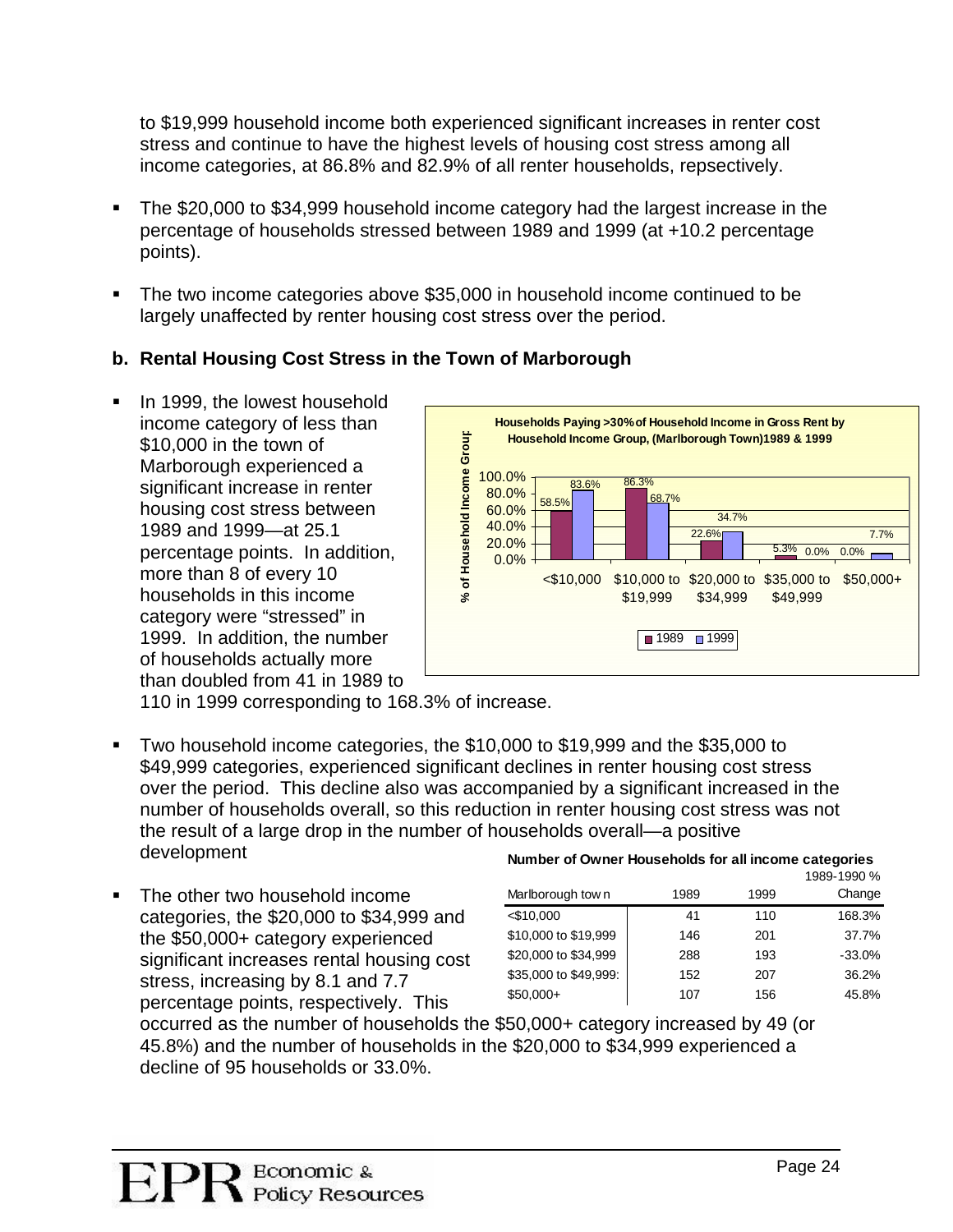to \$19,999 household income both experienced significant increases in renter cost stress and continue to have the highest levels of housing cost stress among all income categories, at 86.8% and 82.9% of all renter households, repsectively.

- The \$20,000 to \$34,999 household income category had the largest increase in the . percentage of households stressed between 1989 and 1999 (at +10.2 percentage points).
- The two income categories above \$35,000 in household income continued to be . largely unaffected by renter housing cost stress over the period.

## **Rental Housing Cost Stress in the Town of Marborough b.**

In 1999, the lowest household Marborough experienced a percentage points. In addition, 1999. In addition, the number than doubled from 41 in 1989 to income category of less than \$10,000 in the town of significant increase in renter housing cost stress between 1989 and 1999—at 25.1 more than 8 of every 10 households in this income category were "stressed" in of households actually more



110 in 1999 corresponding to 168.3% of increase.

- Two household income categories, the \$10,000 to \$19,999 and the \$35,000 to s \$49,999 categories, experienced significant declines in renter housing cost stres over the period. This decline also was accompanied by a significant increased in the number of households overall, so this reduction in renter housing cost stress was not the result of a large drop in the number of households overall—a positive development **Number of Owner Households for all income categories**
- The other two household income categories, the \$20,000 to \$34,999 and significant increases rental housing cost percentage points, respectively. This . the \$50,000+ category experienced stress, increasing by 8.1 and 7.7

|                  |      | 1989-1990 % |        |  |
|------------------|------|-------------|--------|--|
| Marlborough town | 1989 | 1999        | Change |  |

| Marlborough town      | 1989 | 1999 | Change   |
|-----------------------|------|------|----------|
| $<$ \$10,000          | 41   | 110  | 168.3%   |
| \$10,000 to \$19,999  | 146  | 201  | 37.7%    |
| \$20,000 to \$34,999  | 288  | 193  | $-33.0%$ |
| \$35,000 to \$49,999: | 152  | 207  | 36.2%    |
| $$50,000+$            | 107  | 156  | 45.8%    |
|                       |      |      |          |

occurred as the number of households the \$50,000+ category increased by 49 (or 45.8%) and the number of households in the \$20,000 to \$34,999 experienced a decline of 95 households or 33.0%.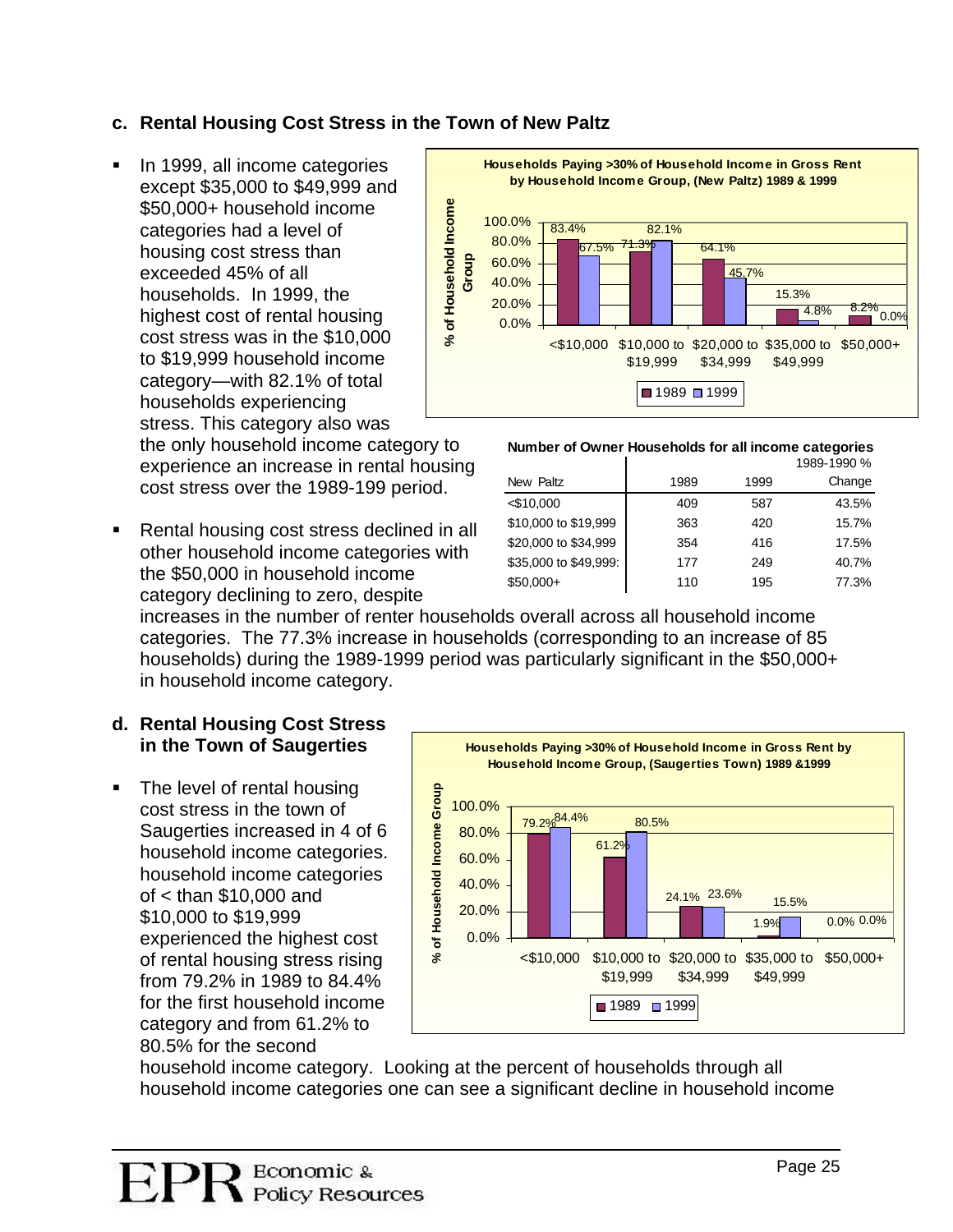## **c. Rental Housing Cost Stress in the Town of New Paltz**

In 1999, all income categories households. In 1999, the highest cost of rental housing stress. This category also was . except \$35,000 to \$49,999 and \$50,000+ household income categories had a level of housing cost stress than exceeded 45% of all cost stress was in the \$10,000 to \$19,999 household income category—with 82.1% of total households experiencing

the only household income category to experience an increase in rental housing cost stress over the 1989-199 period.

Rental housing cost stress declined in all . other household income categories with the \$50,000 in household income category declining to zero, despite



#### **Number of Owner Households for all income categories**

|                       |      |      | 1989-1990 % |
|-----------------------|------|------|-------------|
| New Paltz             | 1989 | 1999 | Change      |
| $<$ \$10,000          | 409  | 587  | 43.5%       |
| \$10,000 to \$19,999  | 363  | 420  | 15.7%       |
| \$20,000 to \$34,999  | 354  | 416  | 17.5%       |
| \$35,000 to \$49,999: | 177  | 249  | 40.7%       |
| $$50,000+$            | 110  | 195  | 77.3%       |

increases in the number of renter households overall across all household income categories. The 77.3% increase in households (corresponding to an increase of 85 households) during the 1989-1999 period was particularly significant in the \$50,000+ in household income category.

#### **. Rental Housing Cost Stress d in the Town of Saugerties**

The level of rental housing Saugerties increased in 4 of 6 experienced the highest cost . cost stress in the town of household income categories. household income categories of < than \$10,000 and \$10,000 to \$19,999 of rental housing stress rising from 79.2% in 1989 to 84.4% for the first household income category and from 61.2% to 80.5% for the second



household income category. Looking at the percent of households through all household income categories one can see a significant decline in household income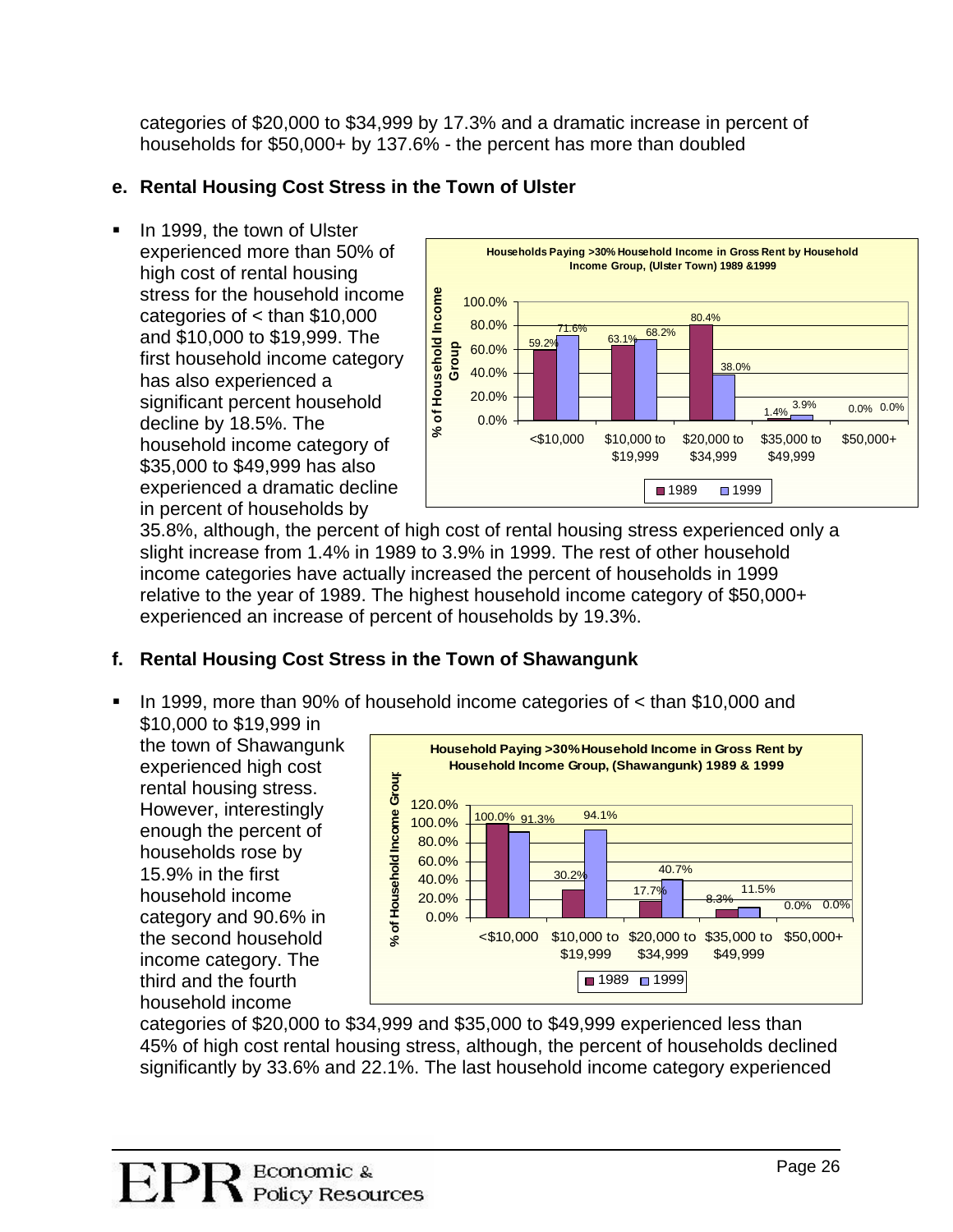categories of \$20,000 to \$34,999 by 17.3% and a dramatic increase in percent of households for \$50,000+ by 137.6% - the percent has more than doubled

## **e. Rental Housing Cost Stress in the Town of Ulster**

**IF In 1999, the town of Ulster** experienced more than 50% of stress for the household income categories of < than \$10,000 and \$10,000 to \$19,999. The experienced a dramatic decline high cost of rental housing first household income category has also experienced a significant percent household decline by 18.5%. The household income category of \$35,000 to \$49,999 has also in percent of households by



35.8%, although, the percent of high cost of rental housing stress experienced only a slight increase from 1.4% in 1989 to 3.9% in 1999. The rest of other household income categories have actually increased the percent of households in 1999 relative to the year of 1989. The highest household income category of \$50,000+ experienced an increase of percent of households by 19.3%.

## **f. Rental Housing Cost Stress in the Town of Shawangunk**

. In 1999, more than 90% of household income categories of < than \$10,000 and \$10,000 to \$19,999 in

the town of Shawangunk rental housing stress. h third and the fourt experienced high cost **p**However, interestingly enough the percent of households rose by 15.9% in the first household income category and 90.6% in the second household income category. The household income



categories of \$20,000 to \$34,999 and \$35,000 to \$49,999 experienced less than 45% of high cost rental housing stress, although, the percent of households declined significantly by 33.6% and 22.1%. The last household income category experienced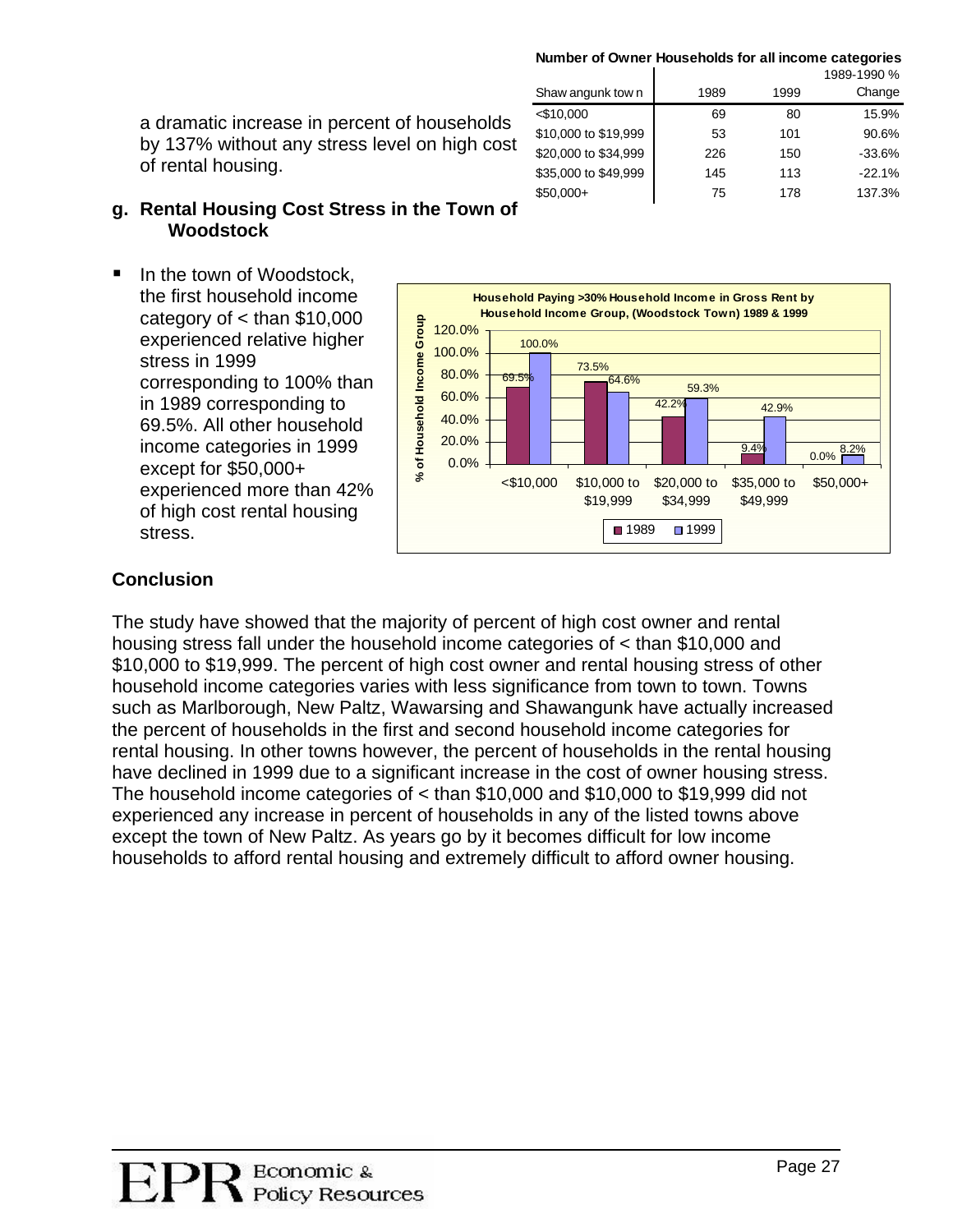<\$10,000 69 80 15.9% \$10,000 to \$19,999 53 101 90.6% \$20,000 to \$34,999 226 150 -33.6%  $$35,000$  to  $$49,999$   $145$  113 -22.1% \$50,000+ 75 178 137.3%

Change

Shaw angunk town 1989 1999

a dramatic increase in percent of households by 137% without any stress level on high cost of rental housing.

#### **g. Rental Housing Cost Stress in the Town of Woodstock**

In the town of Woodstock, the first household income  $\blacksquare$ category of < than \$10,000 stress in 1999 corresponding to 100% than except for \$50,000+ experienced relative higher in 1989 corresponding to 69.5%. All other household income categories in 1999 experienced more than 42% of high cost rental housing stress.



### **Co nclusion**

The study have showed that the majority of percent of high cost owner and rental housing stress fall under the household inco me categories of < than \$10,000 and \$10,000 to \$19,999. The percent of high cost owner and rental housing stress of other household income categories varies with less significance from town to town. Towns such as Marlborough, New Paltz, Wawarsing and Shawangunk have actually increased rental housing. In other towns however, the percent of households in the rental housing the percent of households in the first and second household income categories for have declined in 1999 due to a significant increase in the cost of owner housing stress. The household income categories of < than \$10,000 and \$10,000 to \$19,999 did not experienced any increase in percent of households in any of the listed towns above except the town of New Paltz. As years go by it becomes difficult for low income households to afford rental housing and extremely difficult to afford owner housing.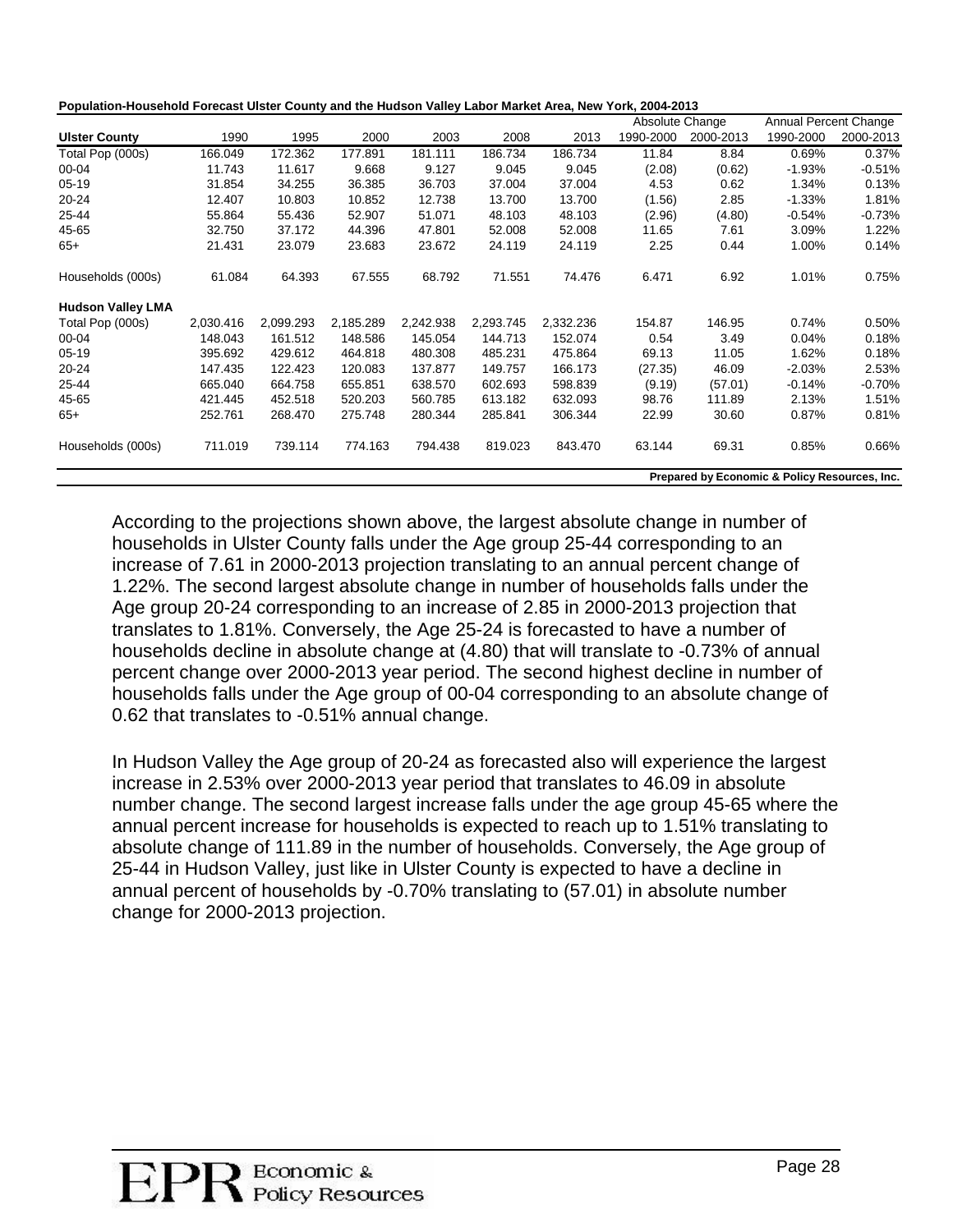|                          |           |           |           |           |           |           | Absolute Change |           | Annual Percent Change |           |
|--------------------------|-----------|-----------|-----------|-----------|-----------|-----------|-----------------|-----------|-----------------------|-----------|
| <b>Ulster County</b>     | 1990      | 1995      | 2000      | 2003      | 2008      | 2013      | 1990-2000       | 2000-2013 | 1990-2000             | 2000-2013 |
| Total Pop (000s)         | 166.049   | 172.362   | 177.891   | 181.111   | 186.734   | 186.734   | 11.84           | 8.84      | 0.69%                 | 0.37%     |
| 00-04                    | 11.743    | 11.617    | 9.668     | 9.127     | 9.045     | 9.045     | (2.08)          | (0.62)    | $-1.93%$              | $-0.51%$  |
| $05-19$                  | 31.854    | 34.255    | 36.385    | 36.703    | 37.004    | 37.004    | 4.53            | 0.62      | 1.34%                 | 0.13%     |
| 20-24                    | 12.407    | 10.803    | 10.852    | 12.738    | 13.700    | 13.700    | (1.56)          | 2.85      | $-1.33%$              | 1.81%     |
| 25-44                    | 55.864    | 55.436    | 52.907    | 51.071    | 48.103    | 48.103    | (2.96)          | (4.80)    | $-0.54%$              | $-0.73%$  |
| 45-65                    | 32.750    | 37.172    | 44.396    | 47.801    | 52.008    | 52.008    | 11.65           | 7.61      | 3.09%                 | 1.22%     |
| $65+$                    | 21.431    | 23.079    | 23.683    | 23.672    | 24.119    | 24.119    | 2.25            | 0.44      | 1.00%                 | 0.14%     |
| Households (000s)        | 61.084    | 64.393    | 67.555    | 68.792    | 71.551    | 74.476    | 6.471           | 6.92      | 1.01%                 | 0.75%     |
| <b>Hudson Valley LMA</b> |           |           |           |           |           |           |                 |           |                       |           |
| Total Pop (000s)         | 2,030.416 | 2,099.293 | 2,185.289 | 2,242.938 | 2,293.745 | 2,332.236 | 154.87          | 146.95    | 0.74%                 | 0.50%     |
| 00-04                    | 148.043   | 161.512   | 148.586   | 145.054   | 144.713   | 152.074   | 0.54            | 3.49      | 0.04%                 | 0.18%     |
| $05-19$                  | 395.692   | 429.612   | 464.818   | 480.308   | 485.231   | 475.864   | 69.13           | 11.05     | 1.62%                 | 0.18%     |
| 20-24                    | 147.435   | 122.423   | 120.083   | 137.877   | 149.757   | 166.173   | (27.35)         | 46.09     | $-2.03%$              | 2.53%     |
| 25-44                    | 665.040   | 664.758   | 655.851   | 638.570   | 602.693   | 598.839   | (9.19)          | (57.01)   | $-0.14%$              | $-0.70%$  |
| 45-65                    | 421.445   | 452.518   | 520.203   | 560.785   | 613.182   | 632.093   | 98.76           | 111.89    | 2.13%                 | 1.51%     |
| $65+$                    | 252.761   | 268.470   | 275.748   | 280.344   | 285.841   | 306.344   | 22.99           | 30.60     | 0.87%                 | 0.81%     |
| Households (000s)        | 711.019   | 739.114   | 774.163   | 794.438   | 819.023   | 843.470   | 63.144          | 69.31     | 0.85%                 | 0.66%     |

According to the projections shown above, the largest absolute change in number of households in Ulster County falls under the Age group 25-44 corresponding to an increase of 7.61 in 2000-2013 projection translating to an annual percent change of 1.22%. The second largest absolute change in number of households falls under the Age group 20-24 corresponding to an increase of 2.85 in 2000-2013 projection that translates to 1.81%. Conversely, the Age 25-24 is forecasted to have a number of households decline in absolute change at (4.80) that will translate to -0.73% of annual percent change over 2000-2013 year period. The second highest decline in number of households falls under the Age group of 00-04 corresponding to an absolute change of 0.62 that translates to -0.51% annual change.

In Hudson Valley the Age group of 20-24 as forecasted also will experience the largest increase in 2.53% over 2000-2013 year period that translates to 46.09 in absolute number change. The second largest increase falls under the age group 45-65 where the annual percent increase for households is expected to reach up to 1.51% translating to absolute change of 111.89 in the number of households. Conversely, the Age group of 25-44 in Hudson Valley, just like in Ulster County is expected to have a decline in annual percent of households by -0.70% translating to (57.01) in absolute number change for 2000-2013 projection.